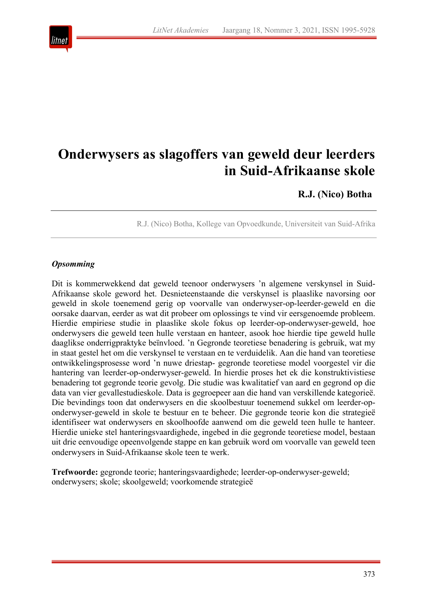

# **Onderwysers as slagoffers van geweld deur leerders in Suid-Afrikaanse skole**

**R.J. (Nico) Botha**

R.J. (Nico) Botha, Kollege van Opvoedkunde, Universiteit van Suid-Afrika

#### *Opsomming*

Dit is kommerwekkend dat geweld teenoor onderwysers 'n algemene verskynsel in Suid-Afrikaanse skole geword het. Desnieteenstaande die verskynsel is plaaslike navorsing oor geweld in skole toenemend gerig op voorvalle van onderwyser-op-leerder-geweld en die oorsake daarvan, eerder as wat dit probeer om oplossings te vind vir eersgenoemde probleem. Hierdie empiriese studie in plaaslike skole fokus op leerder-op-onderwyser-geweld, hoe onderwysers die geweld teen hulle verstaan en hanteer, asook hoe hierdie tipe geweld hulle daaglikse onderrigpraktyke beïnvloed. 'n Gegronde teoretiese benadering is gebruik, wat my in staat gestel het om die verskynsel te verstaan en te verduidelik. Aan die hand van teoretiese ontwikkelingsprosesse word 'n nuwe driestap- gegronde teoretiese model voorgestel vir die hantering van leerder-op-onderwyser-geweld. In hierdie proses het ek die konstruktivistiese benadering tot gegronde teorie gevolg. Die studie was kwalitatief van aard en gegrond op die data van vier gevallestudieskole. Data is gegroepeer aan die hand van verskillende kategorieë. Die bevindings toon dat onderwysers en die skoolbestuur toenemend sukkel om leerder-oponderwyser-geweld in skole te bestuur en te beheer. Die gegronde teorie kon die strategieë identifiseer wat onderwysers en skoolhoofde aanwend om die geweld teen hulle te hanteer. Hierdie unieke stel hanteringsvaardighede, ingebed in die gegronde teoretiese model, bestaan uit drie eenvoudige opeenvolgende stappe en kan gebruik word om voorvalle van geweld teen onderwysers in Suid-Afrikaanse skole teen te werk.

**Trefwoorde:** gegronde teorie; hanteringsvaardighede; leerder-op-onderwyser-geweld; onderwysers; skole; skoolgeweld; voorkomende strategieë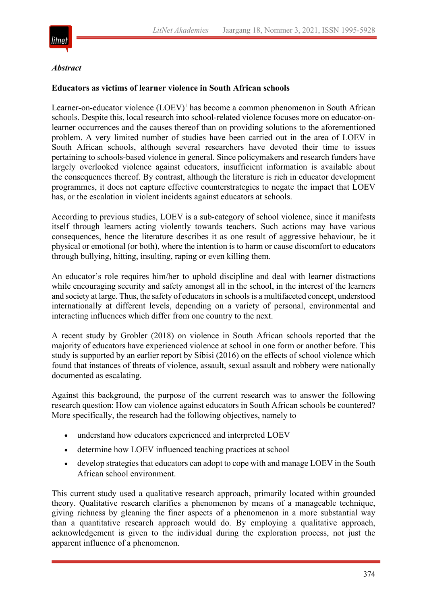

#### *Abstract*

#### **Educators as victims of learner violence in South African schools**

Learner-on-educator violence  $(LOEV)^1$  has become a common phenomenon in South African schools. Despite this, local research into school-related violence focuses more on educator-onlearner occurrences and the causes thereof than on providing solutions to the aforementioned problem. A very limited number of studies have been carried out in the area of LOEV in South African schools, although several researchers have devoted their time to issues pertaining to schools-based violence in general. Since policymakers and research funders have largely overlooked violence against educators, insufficient information is available about the consequences thereof. By contrast, although the literature is rich in educator development programmes, it does not capture effective counterstrategies to negate the impact that LOEV has, or the escalation in violent incidents against educators at schools.

According to previous studies, LOEV is a sub-category of school violence, since it manifests itself through learners acting violently towards teachers. Such actions may have various consequences, hence the literature describes it as one result of aggressive behaviour, be it physical or emotional (or both), where the intention is to harm or cause discomfort to educators through bullying, hitting, insulting, raping or even killing them.

An educator's role requires him/her to uphold discipline and deal with learner distractions while encouraging security and safety amongst all in the school, in the interest of the learners and society at large. Thus, the safety of educatorsin schoolsis a multifaceted concept, understood internationally at different levels, depending on a variety of personal, environmental and interacting influences which differ from one country to the next.

A recent study by Grobler (2018) on violence in South African schools reported that the majority of educators have experienced violence at school in one form or another before. This study is supported by an earlier report by Sibisi (2016) on the effects of school violence which found that instances of threats of violence, assault, sexual assault and robbery were nationally documented as escalating.

Against this background, the purpose of the current research was to answer the following research question: How can violence against educators in South African schools be countered? More specifically, the research had the following objectives, namely to

- understand how educators experienced and interpreted LOEV
- determine how LOEV influenced teaching practices at school
- develop strategies that educators can adopt to cope with and manage LOEV in the South African school environment.

This current study used a qualitative research approach, primarily located within grounded theory. Qualitative research clarifies a phenomenon by means of a manageable technique, giving richness by gleaning the finer aspects of a phenomenon in a more substantial way than a quantitative research approach would do. By employing a qualitative approach, acknowledgement is given to the individual during the exploration process, not just the apparent influence of a phenomenon.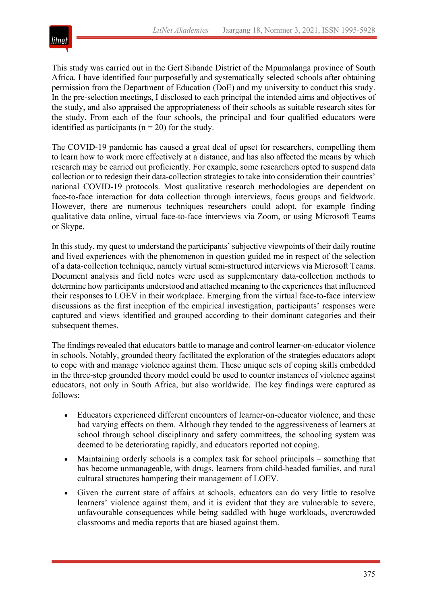

This study was carried out in the Gert Sibande District of the Mpumalanga province of South Africa. I have identified four purposefully and systematically selected schools after obtaining permission from the Department of Education (DoE) and my university to conduct this study. In the pre-selection meetings, I disclosed to each principal the intended aims and objectives of the study, and also appraised the appropriateness of their schools as suitable research sites for the study. From each of the four schools, the principal and four qualified educators were identified as participants ( $n = 20$ ) for the study.

The COVID-19 pandemic has caused a great deal of upset for researchers, compelling them to learn how to work more effectively at a distance, and has also affected the means by which research may be carried out proficiently. For example, some researchers opted to suspend data collection or to redesign their data-collection strategies to take into consideration their countries' national COVID-19 protocols. Most qualitative research methodologies are dependent on face-to-face interaction for data collection through interviews, focus groups and fieldwork. However, there are numerous techniques researchers could adopt, for example finding qualitative data online, virtual face-to-face interviews via Zoom, or using Microsoft Teams or Skype.

In this study, my quest to understand the participants' subjective viewpoints of their daily routine and lived experiences with the phenomenon in question guided me in respect of the selection of a data-collection technique, namely virtual semi-structured interviews via Microsoft Teams. Document analysis and field notes were used as supplementary data-collection methods to determine how participants understood and attached meaning to the experiences that influenced their responses to LOEV in their workplace. Emerging from the virtual face-to-face interview discussions as the first inception of the empirical investigation, participants' responses were captured and views identified and grouped according to their dominant categories and their subsequent themes.

The findings revealed that educators battle to manage and control learner-on-educator violence in schools. Notably, grounded theory facilitated the exploration of the strategies educators adopt to cope with and manage violence against them. These unique sets of coping skills embedded in the three-step grounded theory model could be used to counter instances of violence against educators, not only in South Africa, but also worldwide. The key findings were captured as follows:

- Educators experienced different encounters of learner-on-educator violence, and these had varying effects on them. Although they tended to the aggressiveness of learners at school through school disciplinary and safety committees, the schooling system was deemed to be deteriorating rapidly, and educators reported not coping.
- Maintaining orderly schools is a complex task for school principals something that has become unmanageable, with drugs, learners from child-headed families, and rural cultural structures hampering their management of LOEV.
- Given the current state of affairs at schools, educators can do very little to resolve learners' violence against them, and it is evident that they are vulnerable to severe, unfavourable consequences while being saddled with huge workloads, overcrowded classrooms and media reports that are biased against them.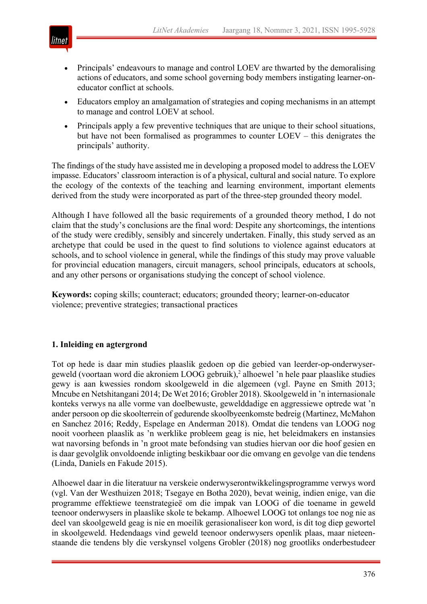

- Principals' endeavours to manage and control LOEV are thwarted by the demoralising actions of educators, and some school governing body members instigating learner-oneducator conflict at schools.
- Educators employ an amalgamation of strategies and coping mechanisms in an attempt to manage and control LOEV at school.
- Principals apply a few preventive techniques that are unique to their school situations, but have not been formalised as programmes to counter LOEV – this denigrates the principals' authority.

The findings of the study have assisted me in developing a proposed model to address the LOEV impasse. Educators' classroom interaction is of a physical, cultural and social nature. To explore the ecology of the contexts of the teaching and learning environment, important elements derived from the study were incorporated as part of the three-step grounded theory model.

Although I have followed all the basic requirements of a grounded theory method, I do not claim that the study's conclusions are the final word: Despite any shortcomings, the intentions of the study were credibly, sensibly and sincerely undertaken. Finally, this study served as an archetype that could be used in the quest to find solutions to violence against educators at schools, and to school violence in general, while the findings of this study may prove valuable for provincial education managers, circuit managers, school principals, educators at schools, and any other persons or organisations studying the concept of school violence.

**Keywords:** coping skills; counteract; educators; grounded theory; learner-on-educator violence; preventive strategies; transactional practices

# **1. Inleiding en agtergrond**

Tot op hede is daar min studies plaaslik gedoen op die gebied van leerder-op-onderwysergeweld (voortaan word die akroniem LOOG gebruik),<sup>2</sup> alhoewel 'n hele paar plaaslike studies gewy is aan kwessies rondom skoolgeweld in die algemeen (vgl. Payne en Smith 2013; Mncube en Netshitangani 2014; De Wet 2016; Grobler 2018). Skoolgeweld in 'n internasionale konteks verwys na alle vorme van doelbewuste, gewelddadige en aggressiewe optrede wat 'n ander persoon op die skoolterrein of gedurende skoolbyeenkomste bedreig (Martinez, McMahon en Sanchez 2016; Reddy, Espelage en Anderman 2018). Omdat die tendens van LOOG nog nooit voorheen plaaslik as 'n werklike probleem geag is nie, het beleidmakers en instansies wat navorsing befonds in 'n groot mate befondsing van studies hiervan oor die hoof gesien en is daar gevolglik onvoldoende inligting beskikbaar oor die omvang en gevolge van die tendens (Linda, Daniels en Fakude 2015).

Alhoewel daar in die literatuur na verskeie onderwyserontwikkelingsprogramme verwys word (vgl. Van der Westhuizen 2018; Tsegaye en Botha 2020), bevat weinig, indien enige, van die programme effektiewe teenstrategieë om die impak van LOOG of die toename in geweld teenoor onderwysers in plaaslike skole te bekamp. Alhoewel LOOG tot onlangs toe nog nie as deel van skoolgeweld geag is nie en moeilik gerasionaliseer kon word, is dit tog diep gewortel in skoolgeweld. Hedendaags vind geweld teenoor onderwysers openlik plaas, maar nieteenstaande die tendens bly die verskynsel volgens Grobler (2018) nog grootliks onderbestudeer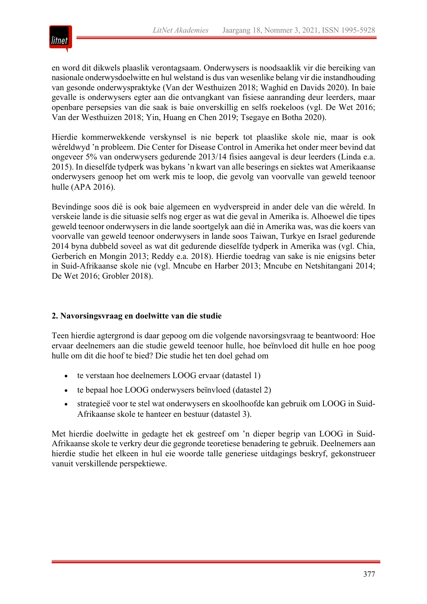

en word dit dikwels plaaslik verontagsaam. Onderwysers is noodsaaklik vir die bereiking van nasionale onderwysdoelwitte en hul welstand is dus van wesenlike belang vir die instandhouding van gesonde onderwyspraktyke (Van der Westhuizen 2018; Waghid en Davids 2020). In baie gevalle is onderwysers egter aan die ontvangkant van fisiese aanranding deur leerders, maar openbare persepsies van die saak is baie onverskillig en selfs roekeloos (vgl. De Wet 2016; Van der Westhuizen 2018; Yin, Huang en Chen 2019; Tsegaye en Botha 2020).

Hierdie kommerwekkende verskynsel is nie beperk tot plaaslike skole nie, maar is ook wêreldwyd 'n probleem. Die Center for Disease Control in Amerika het onder meer bevind dat ongeveer 5% van onderwysers gedurende 2013/14 fisies aangeval is deur leerders (Linda e.a. 2015). In dieselfde tydperk was bykans 'n kwart van alle beserings en siektes wat Amerikaanse onderwysers genoop het om werk mis te loop, die gevolg van voorvalle van geweld teenoor hulle (APA 2016).

Bevindinge soos dié is ook baie algemeen en wydverspreid in ander dele van die wêreld. In verskeie lande is die situasie selfs nog erger as wat die geval in Amerika is. Alhoewel die tipes geweld teenoor onderwysers in die lande soortgelyk aan dié in Amerika was, was die koers van voorvalle van geweld teenoor onderwysers in lande soos Taiwan, Turkye en Israel gedurende 2014 byna dubbeld soveel as wat dit gedurende dieselfde tydperk in Amerika was (vgl. Chia, Gerberich en Mongin 2013; Reddy e.a. 2018). Hierdie toedrag van sake is nie enigsins beter in Suid-Afrikaanse skole nie (vgl. Mncube en Harber 2013; Mncube en Netshitangani 2014; De Wet 2016; Grobler 2018).

# **2. Navorsingsvraag en doelwitte van die studie**

Teen hierdie agtergrond is daar gepoog om die volgende navorsingsvraag te beantwoord: Hoe ervaar deelnemers aan die studie geweld teenoor hulle, hoe beïnvloed dit hulle en hoe poog hulle om dit die hoof te bied? Die studie het ten doel gehad om

- te verstaan hoe deelnemers LOOG ervaar (datastel 1)
- te bepaal hoe LOOG onderwysers beïnvloed (datastel 2)
- strategieë voor te stel wat onderwysers en skoolhoofde kan gebruik om LOOG in Suid-Afrikaanse skole te hanteer en bestuur (datastel 3).

Met hierdie doelwitte in gedagte het ek gestreef om 'n dieper begrip van LOOG in Suid-Afrikaanse skole te verkry deur die gegronde teoretiese benadering te gebruik. Deelnemers aan hierdie studie het elkeen in hul eie woorde talle generiese uitdagings beskryf, gekonstrueer vanuit verskillende perspektiewe.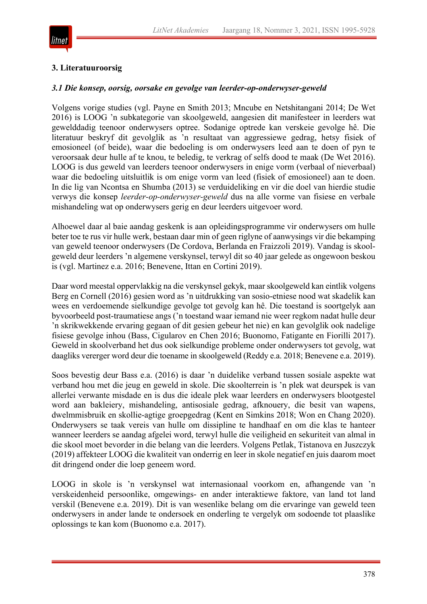

## **3. Literatuuroorsig**

## *3.1 Die konsep, oorsig, oorsake en gevolge van leerder-op-onderwyser-geweld*

Volgens vorige studies (vgl. Payne en Smith 2013; Mncube en Netshitangani 2014; De Wet 2016) is LOOG 'n subkategorie van skoolgeweld, aangesien dit manifesteer in leerders wat gewelddadig teenoor onderwysers optree. Sodanige optrede kan verskeie gevolge hê. Die literatuur beskryf dit gevolglik as 'n resultaat van aggressiewe gedrag, hetsy fisiek of emosioneel (of beide), waar die bedoeling is om onderwysers leed aan te doen of pyn te veroorsaak deur hulle af te knou, te beledig, te verkrag of selfs dood te maak (De Wet 2016). LOOG is dus geweld van leerders teenoor onderwysers in enige vorm (verbaal of nieverbaal) waar die bedoeling uitsluitlik is om enige vorm van leed (fisiek of emosioneel) aan te doen. In die lig van Ncontsa en Shumba (2013) se verduideliking en vir die doel van hierdie studie verwys die konsep *leerder-op-onderwyser-geweld* dus na alle vorme van fisiese en verbale mishandeling wat op onderwysers gerig en deur leerders uitgevoer word.

Alhoewel daar al baie aandag geskenk is aan opleidingsprogramme vir onderwysers om hulle beter toe te rus vir hulle werk, bestaan daar min of geen riglyne of aanwysings vir die bekamping van geweld teenoor onderwysers (De Cordova, Berlanda en Fraizzoli 2019). Vandag is skoolgeweld deur leerders 'n algemene verskynsel, terwyl dit so 40 jaar gelede as ongewoon beskou is (vgl. Martinez e.a. 2016; Benevene, Ittan en Cortini 2019).

Daar word meestal oppervlakkig na die verskynsel gekyk, maar skoolgeweld kan eintlik volgens Berg en Cornell (2016) gesien word as 'n uitdrukking van sosio-etniese nood wat skadelik kan wees en verdoemende sielkundige gevolge tot gevolg kan hê. Die toestand is soortgelyk aan byvoorbeeld post-traumatiese angs ('n toestand waar iemand nie weer regkom nadat hulle deur 'n skrikwekkende ervaring gegaan of dit gesien gebeur het nie) en kan gevolglik ook nadelige fisiese gevolge inhou (Bass, Cigularov en Chen 2016; Buonomo, Fatigante en Fiorilli 2017). Geweld in skoolverband het dus ook sielkundige probleme onder onderwysers tot gevolg, wat daagliks vererger word deur die toename in skoolgeweld (Reddy e.a. 2018; Benevene e.a. 2019).

Soos bevestig deur Bass e.a. (2016) is daar 'n duidelike verband tussen sosiale aspekte wat verband hou met die jeug en geweld in skole. Die skoolterrein is 'n plek wat deurspek is van allerlei verwante misdade en is dus die ideale plek waar leerders en onderwysers blootgestel word aan bakleiery, mishandeling, antisosiale gedrag, afknouery, die besit van wapens, dwelmmisbruik en skollie-agtige groepgedrag (Kent en Simkins 2018; Won en Chang 2020). Onderwysers se taak vereis van hulle om dissipline te handhaaf en om die klas te hanteer wanneer leerders se aandag afgelei word, terwyl hulle die veiligheid en sekuriteit van almal in die skool moet bevorder in die belang van die leerders. Volgens Petlak, Tistanova en Juszczyk (2019) affekteer LOOG die kwaliteit van onderrig en leer in skole negatief en juis daarom moet dit dringend onder die loep geneem word.

LOOG in skole is 'n verskynsel wat internasionaal voorkom en, afhangende van 'n verskeidenheid persoonlike, omgewings- en ander interaktiewe faktore, van land tot land verskil (Benevene e.a. 2019). Dit is van wesenlike belang om die ervaringe van geweld teen onderwysers in ander lande te ondersoek en onderling te vergelyk om sodoende tot plaaslike oplossings te kan kom (Buonomo e.a. 2017).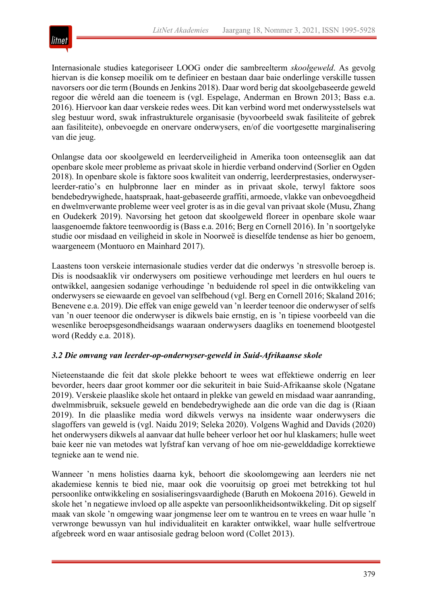

Internasionale studies kategoriseer LOOG onder die sambreelterm *skoolgeweld*. As gevolg hiervan is die konsep moeilik om te definieer en bestaan daar baie onderlinge verskille tussen navorsers oor die term (Bounds en Jenkins 2018). Daar word berig dat skoolgebaseerde geweld regoor die wêreld aan die toeneem is (vgl. Espelage, Anderman en Brown 2013; Bass e.a. 2016). Hiervoor kan daar verskeie redes wees. Dit kan verbind word met onderwysstelsels wat sleg bestuur word, swak infrastrukturele organisasie (byvoorbeeld swak fasiliteite of gebrek aan fasiliteite), onbevoegde en onervare onderwysers, en/of die voortgesette marginalisering van die jeug.

Onlangse data oor skoolgeweld en leerderveiligheid in Amerika toon onteenseglik aan dat openbare skole meer probleme as privaat skole in hierdie verband ondervind (Sorlier en Ogden 2018). In openbare skole is faktore soos kwaliteit van onderrig, leerderprestasies, onderwyserleerder-ratio's en hulpbronne laer en minder as in privaat skole, terwyl faktore soos bendebedrywighede, haatspraak, haat-gebaseerde graffiti, armoede, vlakke van onbevoegdheid en dwelmverwante probleme weer veel groter is as in die geval van privaat skole (Musu, Zhang en Oudekerk 2019). Navorsing het getoon dat skoolgeweld floreer in openbare skole waar laasgenoemde faktore teenwoordig is (Bass e.a. 2016; Berg en Cornell 2016). In 'n soortgelyke studie oor misdaad en veiligheid in skole in Noorweë is dieselfde tendense as hier bo genoem, waargeneem (Montuoro en Mainhard 2017).

Laastens toon verskeie internasionale studies verder dat die onderwys 'n stresvolle beroep is. Dis is noodsaaklik vir onderwysers om positiewe verhoudinge met leerders en hul ouers te ontwikkel, aangesien sodanige verhoudinge 'n beduidende rol speel in die ontwikkeling van onderwysers se eiewaarde en gevoel van selfbehoud (vgl. Berg en Cornell 2016; Skaland 2016; Benevene e.a. 2019). Die effek van enige geweld van 'n leerder teenoor die onderwyser of selfs van 'n ouer teenoor die onderwyser is dikwels baie ernstig, en is 'n tipiese voorbeeld van die wesenlike beroepsgesondheidsangs waaraan onderwysers daagliks en toenemend blootgestel word (Reddy e.a. 2018).

## *3.2 Die omvang van leerder-op-onderwyser-geweld in Suid-Afrikaanse skole*

Nieteenstaande die feit dat skole plekke behoort te wees wat effektiewe onderrig en leer bevorder, heers daar groot kommer oor die sekuriteit in baie Suid-Afrikaanse skole (Ngatane 2019). Verskeie plaaslike skole het ontaard in plekke van geweld en misdaad waar aanranding, dwelmmisbruik, seksuele geweld en bendebedrywighede aan die orde van die dag is (Riaan 2019). In die plaaslike media word dikwels verwys na insidente waar onderwysers die slagoffers van geweld is (vgl. Naidu 2019; Seleka 2020). Volgens Waghid and Davids (2020) het onderwysers dikwels al aanvaar dat hulle beheer verloor het oor hul klaskamers; hulle weet baie keer nie van metodes wat lyfstraf kan vervang of hoe om nie-gewelddadige korrektiewe tegnieke aan te wend nie.

Wanneer 'n mens holisties daarna kyk, behoort die skoolomgewing aan leerders nie net akademiese kennis te bied nie, maar ook die vooruitsig op groei met betrekking tot hul persoonlike ontwikkeling en sosialiseringsvaardighede (Baruth en Mokoena 2016). Geweld in skole het 'n negatiewe invloed op alle aspekte van persoonlikheidsontwikkeling. Dit op sigself maak van skole 'n omgewing waar jongmense leer om te wantrou en te vrees en waar hulle 'n verwronge bewussyn van hul individualiteit en karakter ontwikkel, waar hulle selfvertroue afgebreek word en waar antisosiale gedrag beloon word (Collet 2013).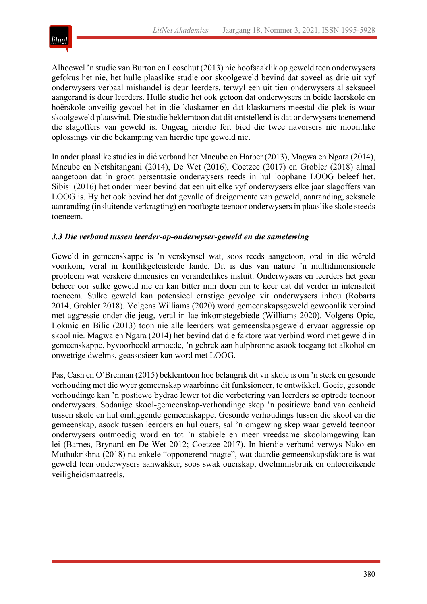

Alhoewel 'n studie van Burton en Leoschut (2013) nie hoofsaaklik op geweld teen onderwysers gefokus het nie, het hulle plaaslike studie oor skoolgeweld bevind dat soveel as drie uit vyf onderwysers verbaal mishandel is deur leerders, terwyl een uit tien onderwysers al seksueel aangerand is deur leerders. Hulle studie het ook getoon dat onderwysers in beide laerskole en hoërskole onveilig gevoel het in die klaskamer en dat klaskamers meestal die plek is waar skoolgeweld plaasvind. Die studie beklemtoon dat dit ontstellend is dat onderwysers toenemend die slagoffers van geweld is. Ongeag hierdie feit bied die twee navorsers nie moontlike oplossings vir die bekamping van hierdie tipe geweld nie.

In ander plaaslike studies in dié verband het Mncube en Harber (2013), Magwa en Ngara (2014), Mncube en Netshitangani (2014), De Wet (2016), Coetzee (2017) en Grobler (2018) almal aangetoon dat 'n groot persentasie onderwysers reeds in hul loopbane LOOG beleef het. Sibisi (2016) het onder meer bevind dat een uit elke vyf onderwysers elke jaar slagoffers van LOOG is. Hy het ook bevind het dat gevalle of dreigemente van geweld, aanranding, seksuele aanranding (insluitende verkragting) en rooftogte teenoor onderwysers in plaaslike skole steeds toeneem.

## *3.3 Die verband tussen leerder-op-onderwyser-geweld en die samelewing*

Geweld in gemeenskappe is 'n verskynsel wat, soos reeds aangetoon, oral in die wêreld voorkom, veral in konflikgeteisterde lande. Dit is dus van nature 'n multidimensionele probleem wat verskeie dimensies en veranderlikes insluit. Onderwysers en leerders het geen beheer oor sulke geweld nie en kan bitter min doen om te keer dat dit verder in intensiteit toeneem. Sulke geweld kan potensieel ernstige gevolge vir onderwysers inhou (Robarts 2014; Grobler 2018). Volgens Williams (2020) word gemeenskapsgeweld gewoonlik verbind met aggressie onder die jeug, veral in lae-inkomstegebiede (Williams 2020). Volgens Opic, Lokmic en Bilic (2013) toon nie alle leerders wat gemeenskapsgeweld ervaar aggressie op skool nie. Magwa en Ngara (2014) het bevind dat die faktore wat verbind word met geweld in gemeenskappe, byvoorbeeld armoede, 'n gebrek aan hulpbronne asook toegang tot alkohol en onwettige dwelms, geassosieer kan word met LOOG.

Pas, Cash en O'Brennan (2015) beklemtoon hoe belangrik dit vir skole is om 'n sterk en gesonde verhouding met die wyer gemeenskap waarbinne dit funksioneer, te ontwikkel. Goeie, gesonde verhoudinge kan 'n postiewe bydrae lewer tot die verbetering van leerders se optrede teenoor onderwysers. Sodanige skool-gemeenskap-verhoudinge skep 'n positiewe band van eenheid tussen skole en hul omliggende gemeenskappe. Gesonde verhoudings tussen die skool en die gemeenskap, asook tussen leerders en hul ouers, sal 'n omgewing skep waar geweld teenoor onderwysers ontmoedig word en tot 'n stabiele en meer vreedsame skoolomgewing kan lei (Barnes, Brynard en De Wet 2012; Coetzee 2017). In hierdie verband verwys Nako en Muthukrishna (2018) na enkele "opponerend magte", wat daardie gemeenskapsfaktore is wat geweld teen onderwysers aanwakker, soos swak ouerskap, dwelmmisbruik en ontoereikende veiligheidsmaatreëls.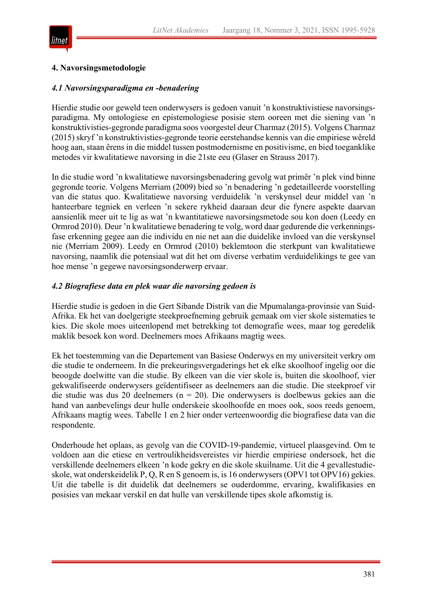

#### **4. Navorsingsmetodologie**

#### *4.1 Navorsingsparadigma en -benadering*

Hierdie studie oor geweld teen onderwysers is gedoen vanuit 'n konstruktivistiese navorsingsparadigma. My ontologiese en epistemologiese posisie stem ooreen met die siening van 'n konstruktivisties-gegronde paradigma soos voorgestel deur Charmaz (2015). Volgens Charmaz (2015) skryf 'n konstruktivisties-gegronde teorie eerstehandse kennis van die empiriese wêreld hoog aan, staan êrens in die middel tussen postmodernisme en positivisme, en bied toeganklike metodes vir kwalitatiewe navorsing in die 21ste eeu (Glaser en Strauss 2017).

In die studie word 'n kwalitatiewe navorsingsbenadering gevolg wat primêr 'n plek vind binne gegronde teorie. Volgens Merriam (2009) bied so 'n benadering 'n gedetailleerde voorstelling van die status quo. Kwalitatiewe navorsing verduidelik 'n verskynsel deur middel van 'n hanteerbare tegniek en verleen 'n sekere rykheid daaraan deur die fynere aspekte daarvan aansienlik meer uit te lig as wat 'n kwantitatiewe navorsingsmetode sou kon doen (Leedy en Ormrod 2010). Deur 'n kwalitatiewe benadering te volg, word daar gedurende die verkenningsfase erkenning gegee aan die individu en nie net aan die duidelike invloed van die verskynsel nie (Merriam 2009). Leedy en Ormrod (2010) beklemtoon die sterkpunt van kwalitatiewe navorsing, naamlik die potensiaal wat dit het om diverse verbatim verduidelikings te gee van hoe mense 'n gegewe navorsingsonderwerp ervaar.

#### *4.2 Biografiese data en plek waar die navorsing gedoen is*

Hierdie studie is gedoen in die Gert Sibande Distrik van die Mpumalanga-provinsie van Suid-Afrika. Ek het van doelgerigte steekproefneming gebruik gemaak om vier skole sistematies te kies. Die skole moes uiteenlopend met betrekking tot demografie wees, maar tog geredelik maklik besoek kon word. Deelnemers moes Afrikaans magtig wees.

Ek het toestemming van die Departement van Basiese Onderwys en my universiteit verkry om die studie te onderneem. In die prekeuringsvergaderings het ek elke skoolhoof ingelig oor die beoogde doelwitte van die studie. By elkeen van die vier skole is, buiten die skoolhoof, vier gekwalifiseerde onderwysers geïdentifiseer as deelnemers aan die studie. Die steekproef vir die studie was dus 20 deelnemers ( $n = 20$ ). Die onderwysers is doelbewus gekies aan die hand van aanbevelings deur hulle onderskeie skoolhoofde en moes ook, soos reeds genoem, Afrikaans magtig wees. Tabelle 1 en 2 hier onder verteenwoordig die biografiese data van die respondente.

Onderhoude het oplaas, as gevolg van die COVID-19-pandemie, virtueel plaasgevind. Om te voldoen aan die etiese en vertroulikheidsvereistes vir hierdie empiriese ondersoek, het die verskillende deelnemers elkeen 'n kode gekry en die skole skuilname. Uit die 4 gevallestudieskole, wat onderskeidelik P, Q, R en S genoem is, is 16 onderwysers (OPV1 tot OPV16) gekies. Uit die tabelle is dit duidelik dat deelnemers se ouderdomme, ervaring, kwalifikasies en posisies van mekaar verskil en dat hulle van verskillende tipes skole afkomstig is.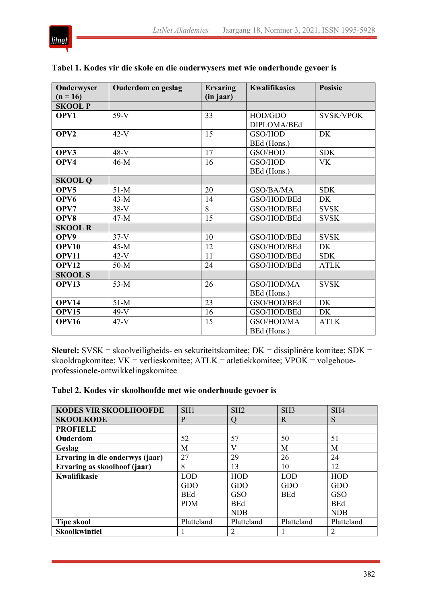

| Onderwyser       | Ouderdom en geslag | <b>Ervaring</b> | <b>Kwalifikasies</b> | Posisie          |
|------------------|--------------------|-----------------|----------------------|------------------|
| $(n = 16)$       |                    | (in jaar)       |                      |                  |
| <b>SKOOL P</b>   |                    |                 |                      |                  |
| OPV1             | $59-V$             | 33              | HOD/GDO              | <b>SVSK/VPOK</b> |
|                  |                    |                 | DIPLOMA/BEd          |                  |
| OPV <sub>2</sub> | $42-V$             | 15              | GSO/HOD              | DK               |
|                  |                    |                 | BEd (Hons.)          |                  |
| OPV3             | $48-V$             | 17              | GSO/HOD              | <b>SDK</b>       |
| OPV4             | $46-M$             | 16              | GSO/HOD              | <b>VK</b>        |
|                  |                    |                 | BEd (Hons.)          |                  |
| <b>SKOOL Q</b>   |                    |                 |                      |                  |
| OPV5             | $51-M$             | 20              | GSO/BA/MA            | <b>SDK</b>       |
| OPV <sub>6</sub> | $43-M$             | 14              | GSO/HOD/BEd          | <b>DK</b>        |
| OPV7             | $38-V$             | 8               | GSO/HOD/BEd          | <b>SVSK</b>      |
| OPV8             | $47-M$             | 15              | GSO/HOD/BEd          | <b>SVSK</b>      |
| <b>SKOOL R</b>   |                    |                 |                      |                  |
| OPV9             | $37-V$             | 10              | GSO/HOD/BEd          | <b>SVSK</b>      |
| OPV10            | $45-M$             | 12              | GSO/HOD/BEd          | DK               |
| OPV11            | $42-V$             | 11              | GSO/HOD/BEd          | <b>SDK</b>       |
| <b>OPV12</b>     | $50-M$             | 24              | GSO/HOD/BEd          | <b>ATLK</b>      |
| <b>SKOOL S</b>   |                    |                 |                      |                  |
| OPV13            | $53-M$             | 26              | GSO/HOD/MA           | <b>SVSK</b>      |
|                  |                    |                 | BEd (Hons.)          |                  |
| <b>OPV14</b>     | $51-M$             | 23              | GSO/HOD/BEd          | <b>DK</b>        |
| <b>OPV15</b>     | $49-V$             | 16              | GSO/HOD/BEd          | DK               |
| OPV16            | $47-V$             | 15              | GSO/HOD/MA           | <b>ATLK</b>      |
|                  |                    |                 | BEd (Hons.)          |                  |

# **Tabel 1. Kodes vir die skole en die onderwysers met wie onderhoude gevoer is**

**Sleutel:** SVSK = skoolveiligheids- en sekuriteitskomitee; DK = dissiplinêre komitee; SDK = skooldragkomitee;  $VK =$  verlieskomitee;  $ATLK =$  atletiekkomitee;  $VPOK =$  volgehoueprofessionele-ontwikkelingskomitee

# **Tabel 2. Kodes vir skoolhoofde met wie onderhoude gevoer is**

| <b>KODES VIR SKOOLHOOFDE</b>    | SH <sub>1</sub> | SH <sub>2</sub> | SH3        | SH4        |
|---------------------------------|-----------------|-----------------|------------|------------|
| <b>SKOOLKODE</b>                | P               |                 | R          | S          |
| <b>PROFIELE</b>                 |                 |                 |            |            |
| Ouderdom                        | 52              | 57              | 50         | 51         |
| Geslag                          | M               | V               | M          | M          |
| Ervaring in die onderwys (jaar) | 27              | 29              | 26         | 24         |
| Ervaring as skoolhoof (jaar)    | 8               | 13              | 10         | 12         |
| <b>Kwalifikasie</b>             | <b>LOD</b>      | <b>HOD</b>      | <b>LOD</b> | HOD        |
|                                 | GDO             | GDO             | GDO        | GDO        |
|                                 | <b>BEd</b>      | GSO             | <b>BEd</b> | <b>GSO</b> |
|                                 | <b>PDM</b>      | <b>BEd</b>      |            | <b>BEd</b> |
|                                 |                 | <b>NDB</b>      |            | <b>NDB</b> |
| <b>Tipe skool</b>               | Platteland      | Platteland      | Platteland | Platteland |
| <b>Skoolkwintiel</b>            |                 |                 |            |            |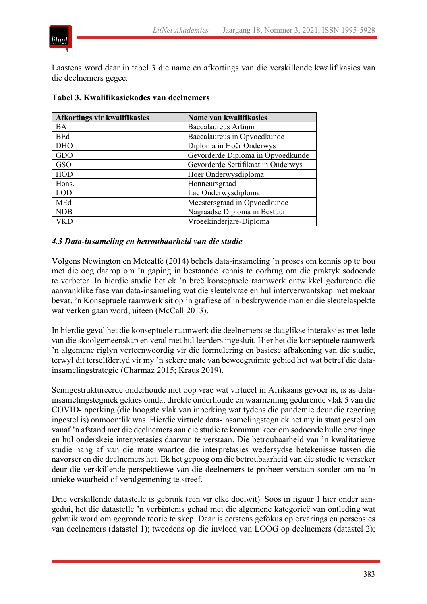

Laastens word daar in tabel 3 die name en afkortings van die verskillende kwalifikasies van die deelnemers gegee.

| Afkortings vir kwalifikasies | Name van kwalifikasies             |  |
|------------------------------|------------------------------------|--|
| <b>BA</b>                    | Baccalaureus Artium                |  |
| <b>BEd</b>                   | Baccalaureus in Opvoedkunde        |  |
| <b>DHO</b>                   | Diploma in Hoër Onderwys           |  |
| GDO                          | Gevorderde Diploma in Opvoedkunde  |  |
| GSO                          | Gevorderde Sertifikaat in Onderwys |  |
| <b>HOD</b>                   | Hoër Onderwysdiploma               |  |
| Hons.                        | Honneursgraad                      |  |
| <b>LOD</b>                   | Lae Onderwysdiploma                |  |
| MEd                          | Meestersgraad in Opvoedkunde       |  |
| <b>NDB</b>                   | Nagraadse Diploma in Bestuur       |  |
|                              | Vroeëkinderjare-Diploma            |  |

#### **Tabel 3. Kwalifikasiekodes van deelnemers**

#### *4.3 Data-insameling en betroubaarheid van die studie*

Volgens Newington en Metcalfe (2014) behels data-insameling 'n proses om kennis op te bou met die oog daarop om 'n gaping in bestaande kennis te oorbrug om die praktyk sodoende te verbeter. In hierdie studie het ek 'n breë konseptuele raamwerk ontwikkel gedurende die aanvanklike fase van data-insameling wat die sleutelvrae en hul interverwantskap met mekaar bevat. 'n Konseptuele raamwerk sit op 'n grafiese of 'n beskrywende manier die sleutelaspekte wat verken gaan word, uiteen (McCall 2013).

In hierdie geval het die konseptuele raamwerk die deelnemers se daaglikse interaksies met lede van die skoolgemeenskap en veral met hul leerders ingesluit. Hier het die konseptuele raamwerk 'n algemene riglyn verteenwoordig vir die formulering en basiese afbakening van die studie, terwyl dit terselfdertyd vir my 'n sekere mate van beweegruimte gebied het wat betref die datainsamelingstrategie (Charmaz 2015; Kraus 2019).

Semigestruktureerde onderhoude met oop vrae wat virtueel in Afrikaans gevoer is, is as datainsamelingstegniek gekies omdat direkte onderhoude en waarneming gedurende vlak 5 van die COVID-inperking (die hoogste vlak van inperking wat tydens die pandemie deur die regering ingestel is) onmoontlik was. Hierdie virtuele data-insamelingstegniek het my in staat gestel om vanaf 'n afstand met die deelnemers aan die studie te kommunikeer om sodoende hulle ervaringe en hul onderskeie interpretasies daarvan te verstaan. Die betroubaarheid van 'n kwalitatiewe studie hang af van die mate waartoe die interpretasies wedersydse betekenisse tussen die navorser en die deelnemers het. Ek het gepoog om die betroubaarheid van die studie te verseker deur die verskillende perspektiewe van die deelnemers te probeer verstaan sonder om na 'n unieke waarheid of veralgemening te streef.

Drie verskillende datastelle is gebruik (een vir elke doelwit). Soos in figuur 1 hier onder aangedui, het die datastelle 'n verbintenis gehad met die algemene kategorieë van ontleding wat gebruik word om gegronde teorie te skep. Daar is eerstens gefokus op ervarings en persepsies van deelnemers (datastel 1); tweedens op die invloed van LOOG op deelnemers (datastel 2);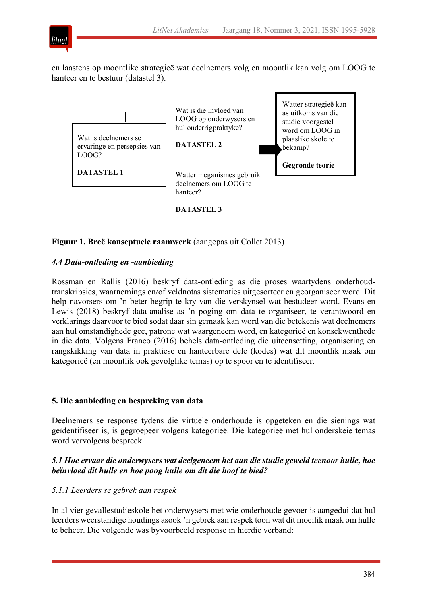

en laastens op moontlike strategieë wat deelnemers volg en moontlik kan volg om LOOG te hanteer en te bestuur (datastel 3).



**Figuur 1. Breë konseptuele raamwerk** (aangepas uit Collet 2013)

# *4.4 Data-ontleding en -aanbieding*

Rossman en Rallis (2016) beskryf data-ontleding as die proses waartydens onderhoudtranskripsies, waarnemings en/of veldnotas sistematies uitgesorteer en georganiseer word. Dit help navorsers om 'n beter begrip te kry van die verskynsel wat bestudeer word. Evans en Lewis (2018) beskryf data-analise as 'n poging om data te organiseer, te verantwoord en verklarings daarvoor te bied sodat daar sin gemaak kan word van die betekenis wat deelnemers aan hul omstandighede gee, patrone wat waargeneem word, en kategorieë en konsekwenthede in die data. Volgens Franco (2016) behels data-ontleding die uiteensetting, organisering en rangskikking van data in praktiese en hanteerbare dele (kodes) wat dit moontlik maak om kategorieë (en moontlik ook gevolglike temas) op te spoor en te identifiseer.

## **5. Die aanbieding en bespreking van data**

Deelnemers se response tydens die virtuele onderhoude is opgeteken en die sienings wat geïdentifiseer is, is gegroepeer volgens kategorieë. Die kategorieë met hul onderskeie temas word vervolgens bespreek.

# *5.1 Hoe ervaar die onderwysers wat deelgeneem het aan die studie geweld teenoor hulle, hoe beïnvloed dit hulle en hoe poog hulle om dit die hoof te bied?*

## *5.1.1 Leerders se gebrek aan respek*

In al vier gevallestudieskole het onderwysers met wie onderhoude gevoer is aangedui dat hul leerders weerstandige houdings asook 'n gebrek aan respek toon wat dit moeilik maak om hulle te beheer. Die volgende was byvoorbeeld response in hierdie verband: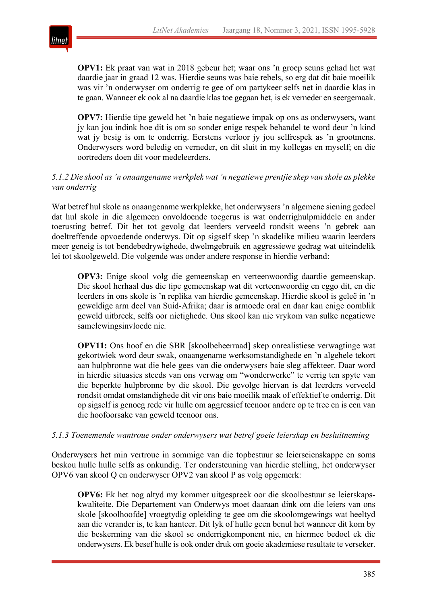

**OPV1:** Ek praat van wat in 2018 gebeur het; waar ons 'n groep seuns gehad het wat daardie jaar in graad 12 was. Hierdie seuns was baie rebels, so erg dat dit baie moeilik was vir 'n onderwyser om onderrig te gee of om partykeer selfs net in daardie klas in te gaan. Wanneer ek ook al na daardie klas toe gegaan het, is ek verneder en seergemaak.

**OPV7:** Hierdie tipe geweld het 'n baie negatiewe impak op ons as onderwysers, want jy kan jou indink hoe dit is om so sonder enige respek behandel te word deur 'n kind wat jy besig is om te onderrig. Eerstens verloor jy jou selfrespek as 'n grootmens. Onderwysers word beledig en verneder, en dit sluit in my kollegas en myself; en die oortreders doen dit voor medeleerders.

## *5.1.2 Die skool as 'n onaangename werkplek wat 'n negatiewe prentjie skep van skole as plekke van onderrig*

Wat betref hul skole as onaangename werkplekke, het onderwysers 'n algemene siening gedeel dat hul skole in die algemeen onvoldoende toegerus is wat onderrighulpmiddele en ander toerusting betref. Dit het tot gevolg dat leerders verveeld rondsit weens 'n gebrek aan doeltreffende opvoedende onderwys. Dit op sigself skep 'n skadelike milieu waarin leerders meer geneig is tot bendebedrywighede, dwelmgebruik en aggressiewe gedrag wat uiteindelik lei tot skoolgeweld. Die volgende was onder andere response in hierdie verband:

**OPV3:** Enige skool volg die gemeenskap en verteenwoordig daardie gemeenskap. Die skool herhaal dus die tipe gemeenskap wat dit verteenwoordig en eggo dit, en die leerders in ons skole is 'n replika van hierdie gemeenskap. Hierdie skool is geleë in 'n geweldige arm deel van Suid-Afrika; daar is armoede oral en daar kan enige oomblik geweld uitbreek, selfs oor nietighede. Ons skool kan nie vrykom van sulke negatiewe samelewingsinvloede nie*.*

**OPV11:** Ons hoof en die SBR [skoolbeheerraad] skep onrealistiese verwagtinge wat gekortwiek word deur swak, onaangename werksomstandighede en 'n algehele tekort aan hulpbronne wat die hele gees van die onderwysers baie sleg affekteer. Daar word in hierdie situasies steeds van ons verwag om "wonderwerke" te verrig ten spyte van die beperkte hulpbronne by die skool. Die gevolge hiervan is dat leerders verveeld rondsit omdat omstandighede dit vir ons baie moeilik maak of effektief te onderrig. Dit op sigself is genoeg rede vir hulle om aggressief teenoor andere op te tree en is een van die hoofoorsake van geweld teenoor ons.

## *5.1.3 Toenemende wantroue onder onderwysers wat betref goeie leierskap en besluitneming*

Onderwysers het min vertroue in sommige van die topbestuur se leierseienskappe en soms beskou hulle hulle selfs as onkundig. Ter ondersteuning van hierdie stelling, het onderwyser OPV6 van skool Q en onderwyser OPV2 van skool P as volg opgemerk:

**OPV6:** Ek het nog altyd my kommer uitgespreek oor die skoolbestuur se leierskapskwaliteite. Die Departement van Onderwys moet daaraan dink om die leiers van ons skole [skoolhoofde] vroegtydig opleiding te gee om die skoolomgewings wat heeltyd aan die verander is, te kan hanteer. Dit lyk of hulle geen benul het wanneer dit kom by die beskerming van die skool se onderrigkomponent nie, en hiermee bedoel ek die onderwysers. Ek besef hulle is ook onder druk om goeie akademiese resultate te verseker.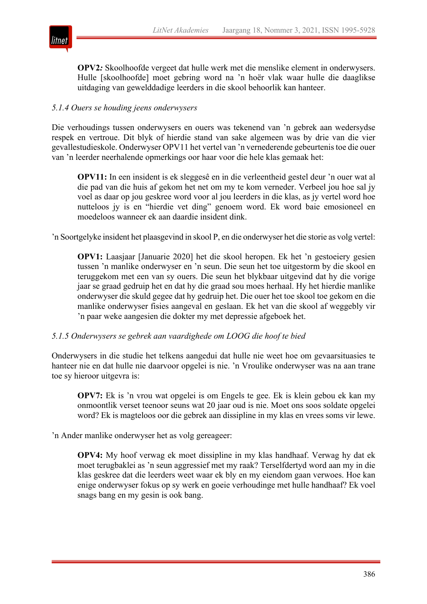

**OPV2***:* Skoolhoofde vergeet dat hulle werk met die menslike element in onderwysers. Hulle [skoolhoofde] moet gebring word na 'n hoër vlak waar hulle die daaglikse uitdaging van gewelddadige leerders in die skool behoorlik kan hanteer.

## *5.1.4 Ouers se houding jeens onderwysers*

Die verhoudings tussen onderwysers en ouers was tekenend van 'n gebrek aan wedersydse respek en vertroue. Dit blyk of hierdie stand van sake algemeen was by drie van die vier gevallestudieskole. Onderwyser OPV11 het vertel van 'n vernederende gebeurtenistoe die ouer van 'n leerder neerhalende opmerkings oor haar voor die hele klas gemaak het:

**OPV11:** In een insident is ek sleggesê en in die verleentheid gestel deur 'n ouer wat al die pad van die huis af gekom het net om my te kom verneder. Verbeel jou hoe sal jy voel as daar op jou geskree word voor al jou leerders in die klas, as jy vertel word hoe nutteloos jy is en "hierdie vet ding" genoem word. Ek word baie emosioneel en moedeloos wanneer ek aan daardie insident dink.

'n Soortgelyke insident het plaasgevind in skool P, en die onderwyser het die storie as volg vertel:

**OPV1:** Laasjaar [Januarie 2020] het die skool heropen. Ek het 'n gestoeiery gesien tussen 'n manlike onderwyser en 'n seun. Die seun het toe uitgestorm by die skool en teruggekom met een van sy ouers. Die seun het blykbaar uitgevind dat hy die vorige jaar se graad gedruip het en dat hy die graad sou moes herhaal. Hy het hierdie manlike onderwyser die skuld gegee dat hy gedruip het. Die ouer het toe skool toe gekom en die manlike onderwyser fisies aangeval en geslaan. Ek het van die skool af weggebly vir 'n paar weke aangesien die dokter my met depressie afgeboek het.

## *5.1.5 Onderwysers se gebrek aan vaardighede om LOOG die hoof te bied*

Onderwysers in die studie het telkens aangedui dat hulle nie weet hoe om gevaarsituasies te hanteer nie en dat hulle nie daarvoor opgelei is nie. 'n Vroulike onderwyser was na aan trane toe sy hieroor uitgevra is:

**OPV7:** Ek is 'n vrou wat opgelei is om Engels te gee. Ek is klein gebou ek kan my onmoontlik verset teenoor seuns wat 20 jaar oud is nie. Moet ons soos soldate opgelei word? Ek is magteloos oor die gebrek aan dissipline in my klas en vrees soms vir lewe.

'n Ander manlike onderwyser het as volg gereageer:

**OPV4:** My hoof verwag ek moet dissipline in my klas handhaaf. Verwag hy dat ek moet terugbaklei as 'n seun aggressief met my raak? Terselfdertyd word aan my in die klas geskree dat die leerders weet waar ek bly en my eiendom gaan verwoes. Hoe kan enige onderwyser fokus op sy werk en goeie verhoudinge met hulle handhaaf? Ek voel snags bang en my gesin is ook bang.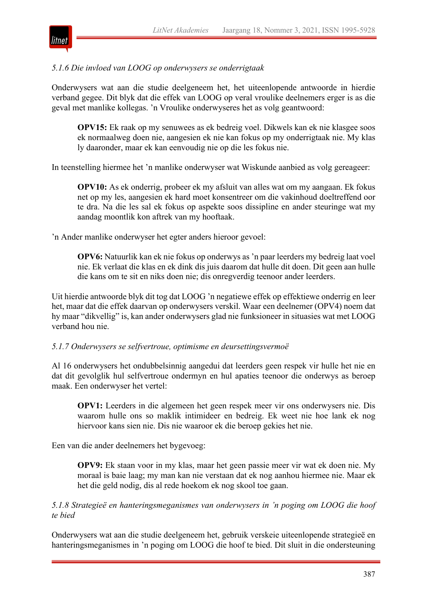

## *5.1.6 Die invloed van LOOG op onderwysers se onderrigtaak*

Onderwysers wat aan die studie deelgeneem het, het uiteenlopende antwoorde in hierdie verband gegee. Dit blyk dat die effek van LOOG op veral vroulike deelnemers erger is as die geval met manlike kollegas. 'n Vroulike onderwyseres het as volg geantwoord:

**OPV15:** Ek raak op my senuwees as ek bedreig voel. Dikwels kan ek nie klasgee soos ek normaalweg doen nie, aangesien ek nie kan fokus op my onderrigtaak nie. My klas ly daaronder, maar ek kan eenvoudig nie op die les fokus nie.

In teenstelling hiermee het 'n manlike onderwyser wat Wiskunde aanbied as volg gereageer:

**OPV10:** As ek onderrig, probeer ek my afsluit van alles wat om my aangaan. Ek fokus net op my les, aangesien ek hard moet konsentreer om die vakinhoud doeltreffend oor te dra. Na die les sal ek fokus op aspekte soos dissipline en ander steuringe wat my aandag moontlik kon aftrek van my hooftaak.

'n Ander manlike onderwyser het egter anders hieroor gevoel:

**OPV6:** Natuurlik kan ek nie fokus op onderwys as 'n paar leerders my bedreig laat voel nie. Ek verlaat die klas en ek dink dis juis daarom dat hulle dit doen. Dit geen aan hulle die kans om te sit en niks doen nie; dis onregverdig teenoor ander leerders.

Uit hierdie antwoorde blyk dit tog dat LOOG 'n negatiewe effek op effektiewe onderrig en leer het, maar dat die effek daarvan op onderwysers verskil. Waar een deelnemer (OPV4) noem dat hy maar "dikvellig" is, kan ander onderwysers glad nie funksioneer in situasies wat met LOOG verband hou nie.

#### *5.1.7 Onderwysers se selfvertroue, optimisme en deursettingsvermoë*

Al 16 onderwysers het ondubbelsinnig aangedui dat leerders geen respek vir hulle het nie en dat dit gevolglik hul selfvertroue ondermyn en hul apaties teenoor die onderwys as beroep maak. Een onderwyser het vertel:

**OPV1:** Leerders in die algemeen het geen respek meer vir ons onderwysers nie. Dis waarom hulle ons so maklik intimideer en bedreig. Ek weet nie hoe lank ek nog hiervoor kans sien nie. Dis nie waaroor ek die beroep gekies het nie.

Een van die ander deelnemers het bygevoeg:

**OPV9:** Ek staan voor in my klas, maar het geen passie meer vir wat ek doen nie. My moraal is baie laag; my man kan nie verstaan dat ek nog aanhou hiermee nie. Maar ek het die geld nodig, dis al rede hoekom ek nog skool toe gaan.

*5.1.8 Strategieë en hanteringsmeganismes van onderwysers in 'n poging om LOOG die hoof te bied*

Onderwysers wat aan die studie deelgeneem het, gebruik verskeie uiteenlopende strategieë en hanteringsmeganismes in 'n poging om LOOG die hoof te bied. Dit sluit in die ondersteuning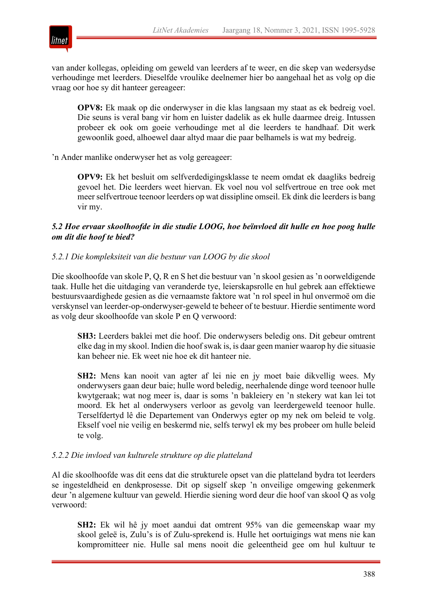

van ander kollegas, opleiding om geweld van leerders af te weer, en die skep van wedersydse verhoudinge met leerders. Dieselfde vroulike deelnemer hier bo aangehaal het as volg op die vraag oor hoe sy dit hanteer gereageer:

**OPV8:** Ek maak op die onderwyser in die klas langsaan my staat as ek bedreig voel. Die seuns is veral bang vir hom en luister dadelik as ek hulle daarmee dreig. Intussen probeer ek ook om goeie verhoudinge met al die leerders te handhaaf. Dit werk gewoonlik goed, alhoewel daar altyd maar die paar belhamels is wat my bedreig.

'n Ander manlike onderwyser het as volg gereageer:

**OPV9:** Ek het besluit om selfverdedigingsklasse te neem omdat ek daagliks bedreig gevoel het. Die leerders weet hiervan. Ek voel nou vol selfvertroue en tree ook met meer selfvertroue teenoor leerders op wat dissipline omseil. Ek dink die leerders is bang vir my.

## *5.2 Hoe ervaar skoolhoofde in die studie LOOG, hoe beïnvloed dit hulle en hoe poog hulle om dit die hoof te bied?*

#### *5.2.1 Die kompleksiteit van die bestuur van LOOG by die skool*

Die skoolhoofde van skole P, Q, R en S het die bestuur van 'n skool gesien as 'n oorweldigende taak. Hulle het die uitdaging van veranderde tye, leierskapsrolle en hul gebrek aan effektiewe bestuursvaardighede gesien as die vernaamste faktore wat 'n rol speel in hul onvermoë om die verskynsel van leerder-op-onderwyser-geweld te beheer of te bestuur. Hierdie sentimente word as volg deur skoolhoofde van skole P en Q verwoord:

**SH3:** Leerders baklei met die hoof. Die onderwysers beledig ons. Dit gebeur omtrent elke dag in my skool. Indien die hoofswak is, is daar geen manier waarop hy die situasie kan beheer nie. Ek weet nie hoe ek dit hanteer nie.

**SH2:** Mens kan nooit van agter af lei nie en jy moet baie dikvellig wees. My onderwysers gaan deur baie; hulle word beledig, neerhalende dinge word teenoor hulle kwytgeraak; wat nog meer is, daar is soms 'n bakleiery en 'n stekery wat kan lei tot moord. Ek het al onderwysers verloor as gevolg van leerdergeweld teenoor hulle. Terselfdertyd lê die Departement van Onderwys egter op my nek om beleid te volg. Ekself voel nie veilig en beskermd nie, selfs terwyl ek my bes probeer om hulle beleid te volg.

#### *5.2.2 Die invloed van kulturele strukture op die platteland*

Al die skoolhoofde was dit eens dat die strukturele opset van die platteland bydra tot leerders se ingesteldheid en denkprosesse. Dit op sigself skep 'n onveilige omgewing gekenmerk deur 'n algemene kultuur van geweld. Hierdie siening word deur die hoof van skool Q as volg verwoord:

**SH2:** Ek wil hê jy moet aandui dat omtrent 95% van die gemeenskap waar my skool geleë is, Zulu's is of Zulu-sprekend is. Hulle het oortuigings wat mens nie kan kompromitteer nie. Hulle sal mens nooit die geleentheid gee om hul kultuur te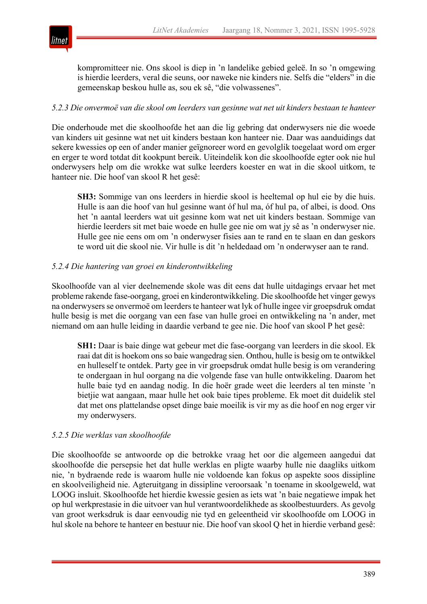

kompromitteer nie. Ons skool is diep in 'n landelike gebied geleë. In so 'n omgewing is hierdie leerders, veral die seuns, oor naweke nie kinders nie. Selfs die "elders" in die gemeenskap beskou hulle as, sou ek sê, "die volwassenes".

## *5.2.3 Die onvermoë van die skool om leerders van gesinne wat net uit kinders bestaan te hanteer*

Die onderhoude met die skoolhoofde het aan die lig gebring dat onderwysers nie die woede van kinders uit gesinne wat net uit kinders bestaan kon hanteer nie. Daar was aanduidings dat sekere kwessies op een of ander manier geïgnoreer word en gevolglik toegelaat word om erger en erger te word totdat dit kookpunt bereik. Uiteindelik kon die skoolhoofde egter ook nie hul onderwysers help om die wrokke wat sulke leerders koester en wat in die skool uitkom, te hanteer nie. Die hoof van skool R het gesê:

**SH3:** Sommige van ons leerders in hierdie skool is heeltemal op hul eie by die huis. Hulle is aan die hoof van hul gesinne want óf hul ma, óf hul pa, of albei, is dood. Ons het 'n aantal leerders wat uit gesinne kom wat net uit kinders bestaan. Sommige van hierdie leerders sit met baie woede en hulle gee nie om wat jy sê as 'n onderwyser nie. Hulle gee nie eens om om 'n onderwyser fisies aan te rand en te slaan en dan geskors te word uit die skool nie. Vir hulle is dit 'n heldedaad om 'n onderwyser aan te rand.

# *5.2.4 Die hantering van groei en kinderontwikkeling*

Skoolhoofde van al vier deelnemende skole was dit eens dat hulle uitdagings ervaar het met probleme rakende fase-oorgang, groei en kinderontwikkeling. Die skoolhoofde het vinger gewys na onderwysers se onvermoë om leerders te hanteer wat lyk of hulle ingee vir groepsdruk omdat hulle besig is met die oorgang van een fase van hulle groei en ontwikkeling na 'n ander, met niemand om aan hulle leiding in daardie verband te gee nie. Die hoof van skool P het gesê:

**SH1:** Daar is baie dinge wat gebeur met die fase-oorgang van leerders in die skool. Ek raai dat dit is hoekom ons so baie wangedrag sien. Onthou, hulle is besig om te ontwikkel en hulleself te ontdek. Party gee in vir groepsdruk omdat hulle besig is om verandering te ondergaan in hul oorgang na die volgende fase van hulle ontwikkeling. Daarom het hulle baie tyd en aandag nodig. In die hoër grade weet die leerders al ten minste 'n bietjie wat aangaan, maar hulle het ook baie tipes probleme. Ek moet dit duidelik stel dat met ons plattelandse opset dinge baie moeilik is vir my as die hoof en nog erger vir my onderwysers.

# *5.2.5 Die werklas van skoolhoofde*

Die skoolhoofde se antwoorde op die betrokke vraag het oor die algemeen aangedui dat skoolhoofde die persepsie het dat hulle werklas en pligte waarby hulle nie daagliks uitkom nie, 'n bydraende rede is waarom hulle nie voldoende kan fokus op aspekte soos dissipline en skoolveiligheid nie. Agteruitgang in dissipline veroorsaak 'n toename in skoolgeweld, wat LOOG insluit. Skoolhoofde het hierdie kwessie gesien as iets wat 'n baie negatiewe impak het op hul werkprestasie in die uitvoer van hul verantwoordelikhede as skoolbestuurders. As gevolg van groot werksdruk is daar eenvoudig nie tyd en geleentheid vir skoolhoofde om LOOG in hul skole na behore te hanteer en bestuur nie. Die hoof van skool Q het in hierdie verband gesê: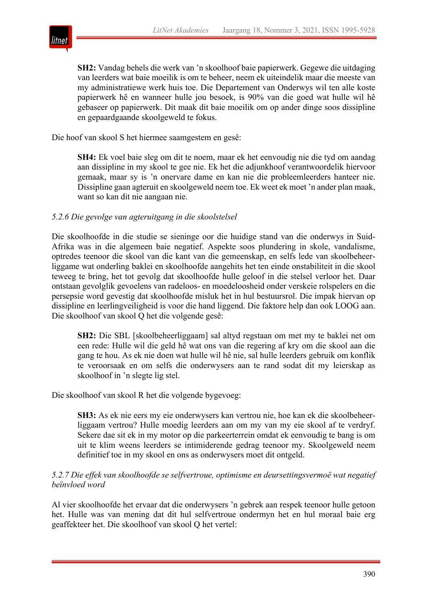

**SH2:** Vandag behels die werk van 'n skoolhoof baie papierwerk. Gegewe die uitdaging van leerders wat baie moeilik is om te beheer, neem ek uiteindelik maar die meeste van my administratiewe werk huis toe. Die Departement van Onderwys wil ten alle koste papierwerk hê en wanneer hulle jou besoek, is 90% van die goed wat hulle wil hê gebaseer op papierwerk. Dit maak dit baie moeilik om op ander dinge soos dissipline en gepaardgaande skoolgeweld te fokus.

Die hoof van skool S het hiermee saamgestem en gesê:

**SH4:** Ek voel baie sleg om dit te noem, maar ek het eenvoudig nie die tyd om aandag aan dissipline in my skool te gee nie. Ek het die adjunkhoof verantwoordelik hiervoor gemaak, maar sy is 'n onervare dame en kan nie die probleemleerders hanteer nie. Dissipline gaan agteruit en skoolgeweld neem toe. Ek weet ek moet 'n ander plan maak, want so kan dit nie aangaan nie.

## *5.2.6 Die gevolge van agteruitgang in die skoolstelsel*

Die skoolhoofde in die studie se sieninge oor die huidige stand van die onderwys in Suid-Afrika was in die algemeen baie negatief. Aspekte soos plundering in skole, vandalisme, optredes teenoor die skool van die kant van die gemeenskap, en selfs lede van skoolbeheerliggame wat onderling baklei en skoolhoofde aangehits het ten einde onstabiliteit in die skool teweeg te bring, het tot gevolg dat skoolhoofde hulle geloof in die stelsel verloor het. Daar ontstaan gevolglik gevoelens van radeloos- en moedeloosheid onder verskeie rolspelers en die persepsie word gevestig dat skoolhoofde misluk het in hul bestuursrol. Die impak hiervan op dissipline en leerlingveiligheid is voor die hand liggend. Die faktore help dan ook LOOG aan. Die skoolhoof van skool Q het die volgende gesê:

**SH2:** Die SBL [skoolbeheerliggaam] sal altyd regstaan om met my te baklei net om een rede: Hulle wil die geld hê wat ons van die regering af kry om die skool aan die gang te hou. As ek nie doen wat hulle wil hê nie, sal hulle leerders gebruik om konflik te veroorsaak en om selfs die onderwysers aan te rand sodat dit my leierskap as skoolhoof in 'n slegte lig stel.

Die skoolhoof van skool R het die volgende bygevoeg:

**SH3:** As ek nie eers my eie onderwysers kan vertrou nie, hoe kan ek die skoolbeheerliggaam vertrou? Hulle moedig leerders aan om my van my eie skool af te verdryf. Sekere dae sit ek in my motor op die parkeerterrein omdat ek eenvoudig te bang is om uit te klim weens leerders se intimiderende gedrag teenoor my. Skoolgeweld neem definitief toe in my skool en ons as onderwysers moet dit ontgeld.

*5.2.7 Die effek van skoolhoofde se selfvertroue, optimisme en deursettingsvermoë wat negatief beïnvloed word*

Al vier skoolhoofde het ervaar dat die onderwysers 'n gebrek aan respek teenoor hulle getoon het. Hulle was van mening dat dit hul selfvertroue ondermyn het en hul moraal baie erg geaffekteer het. Die skoolhoof van skool Q het vertel: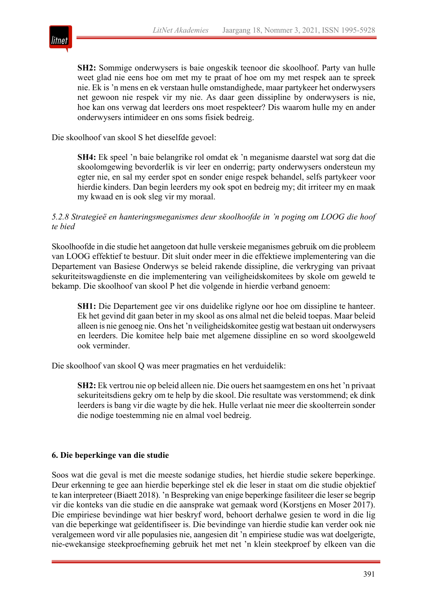

**SH2:** Sommige onderwysers is baie ongeskik teenoor die skoolhoof. Party van hulle weet glad nie eens hoe om met my te praat of hoe om my met respek aan te spreek nie. Ek is 'n mens en ek verstaan hulle omstandighede, maar partykeer het onderwysers net gewoon nie respek vir my nie. As daar geen dissipline by onderwysers is nie, hoe kan ons verwag dat leerders ons moet respekteer? Dis waarom hulle my en ander onderwysers intimideer en ons soms fisiek bedreig.

Die skoolhoof van skool S het dieselfde gevoel:

**SH4:** Ek speel 'n baie belangrike rol omdat ek 'n meganisme daarstel wat sorg dat die skoolomgewing bevorderlik is vir leer en onderrig; party onderwysers ondersteun my egter nie, en sal my eerder spot en sonder enige respek behandel, selfs partykeer voor hierdie kinders. Dan begin leerders my ook spot en bedreig my; dit irriteer my en maak my kwaad en is ook sleg vir my moraal.

#### *5.2.8 Strategieë en hanteringsmeganismes deur skoolhoofde in 'n poging om LOOG die hoof te bied*

Skoolhoofde in die studie het aangetoon dat hulle verskeie meganismes gebruik om die probleem van LOOG effektief te bestuur. Dit sluit onder meer in die effektiewe implementering van die Departement van Basiese Onderwys se beleid rakende dissipline, die verkryging van privaat sekuriteitswagdienste en die implementering van veiligheidskomitees by skole om geweld te bekamp. Die skoolhoof van skool P het die volgende in hierdie verband genoem:

**SH1:** Die Departement gee vir ons duidelike riglyne oor hoe om dissipline te hanteer. Ek het gevind dit gaan beter in my skool as ons almal net die beleid toepas. Maar beleid alleen is nie genoeg nie. Ons het 'n veiligheidskomitee gestig wat bestaan uit onderwysers en leerders. Die komitee help baie met algemene dissipline en so word skoolgeweld ook verminder.

Die skoolhoof van skool Q was meer pragmaties en het verduidelik:

**SH2:** Ek vertrou nie op beleid alleen nie. Die ouers het saamgestem en ons het 'n privaat sekuriteitsdiens gekry om te help by die skool. Die resultate was verstommend; ek dink leerders is bang vir die wagte by die hek. Hulle verlaat nie meer die skoolterrein sonder die nodige toestemming nie en almal voel bedreig.

## **6. Die beperkinge van die studie**

Soos wat die geval is met die meeste sodanige studies, het hierdie studie sekere beperkinge. Deur erkenning te gee aan hierdie beperkinge stel ek die leser in staat om die studie objektief te kan interpreteer (Biaett 2018). 'n Bespreking van enige beperkinge fasiliteer die leserse begrip vir die konteks van die studie en die aansprake wat gemaak word (Korstjens en Moser 2017). Die empiriese bevindinge wat hier beskryf word, behoort derhalwe gesien te word in die lig van die beperkinge wat geïdentifiseer is. Die bevindinge van hierdie studie kan verder ook nie veralgemeen word vir alle populasies nie, aangesien dit 'n empiriese studie was wat doelgerigte, nie-ewekansige steekproefneming gebruik het met net 'n klein steekproef by elkeen van die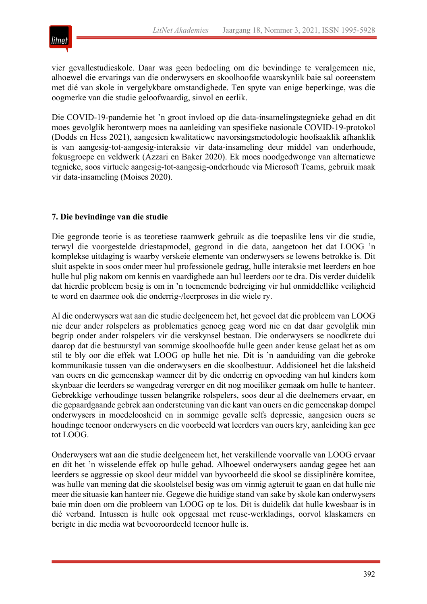

vier gevallestudieskole. Daar was geen bedoeling om die bevindinge te veralgemeen nie, alhoewel die ervarings van die onderwysers en skoolhoofde waarskynlik baie sal ooreenstem met dié van skole in vergelykbare omstandighede. Ten spyte van enige beperkinge, was die oogmerke van die studie geloofwaardig, sinvol en eerlik.

Die COVID-19-pandemie het 'n groot invloed op die data-insamelingstegnieke gehad en dit moes gevolglik herontwerp moes na aanleiding van spesifieke nasionale COVID-19-protokol (Dodds en Hess 2021), aangesien kwalitatiewe navorsingsmetodologie hoofsaaklik afhanklik is van aangesig-tot-aangesig-interaksie vir data-insameling deur middel van onderhoude, fokusgroepe en veldwerk (Azzari en Baker 2020). Ek moes noodgedwonge van alternatiewe tegnieke, soos virtuele aangesig-tot-aangesig-onderhoude via Microsoft Teams, gebruik maak vir data-insameling (Moises 2020).

# **7. Die bevindinge van die studie**

Die gegronde teorie is as teoretiese raamwerk gebruik as die toepaslike lens vir die studie, terwyl die voorgestelde driestapmodel, gegrond in die data, aangetoon het dat LOOG 'n komplekse uitdaging is waarby verskeie elemente van onderwysers se lewens betrokke is. Dit sluit aspekte in soos onder meer hul professionele gedrag, hulle interaksie met leerders en hoe hulle hul plig nakom om kennis en vaardighede aan hul leerders oor te dra. Dis verder duidelik dat hierdie probleem besig is om in 'n toenemende bedreiging vir hul onmiddellike veiligheid te word en daarmee ook die onderrig-/leerproses in die wiele ry.

Al die onderwysers wat aan die studie deelgeneem het, het gevoel dat die probleem van LOOG nie deur ander rolspelers as problematies genoeg geag word nie en dat daar gevolglik min begrip onder ander rolspelers vir die verskynsel bestaan. Die onderwysers se noodkrete dui daarop dat die bestuurstyl van sommige skoolhoofde hulle geen ander keuse gelaat het as om stil te bly oor die effek wat LOOG op hulle het nie. Dit is 'n aanduiding van die gebroke kommunikasie tussen van die onderwysers en die skoolbestuur. Addisioneel het die laksheid van ouers en die gemeenskap wanneer dit by die onderrig en opvoeding van hul kinders kom skynbaar die leerders se wangedrag vererger en dit nog moeiliker gemaak om hulle te hanteer. Gebrekkige verhoudinge tussen belangrike rolspelers, soos deur al die deelnemers ervaar, en die gepaardgaande gebrek aan ondersteuning van die kant van ouers en die gemeenskap dompel onderwysers in moedeloosheid en in sommige gevalle selfs depressie, aangesien ouers se houdinge teenoor onderwysers en die voorbeeld wat leerders van ouers kry, aanleiding kan gee tot LOOG.

Onderwysers wat aan die studie deelgeneem het, het verskillende voorvalle van LOOG ervaar en dit het 'n wisselende effek op hulle gehad. Alhoewel onderwysers aandag gegee het aan leerders se aggressie op skool deur middel van byvoorbeeld die skool se dissiplinêre komitee, was hulle van mening dat die skoolstelsel besig was om vinnig agteruit te gaan en dat hulle nie meer die situasie kan hanteer nie. Gegewe die huidige stand van sake by skole kan onderwysers baie min doen om die probleem van LOOG op te los. Dit is duidelik dat hulle kwesbaar is in dié verband. Intussen is hulle ook opgesaal met reuse-werkladings, oorvol klaskamers en berigte in die media wat bevooroordeeld teenoor hulle is.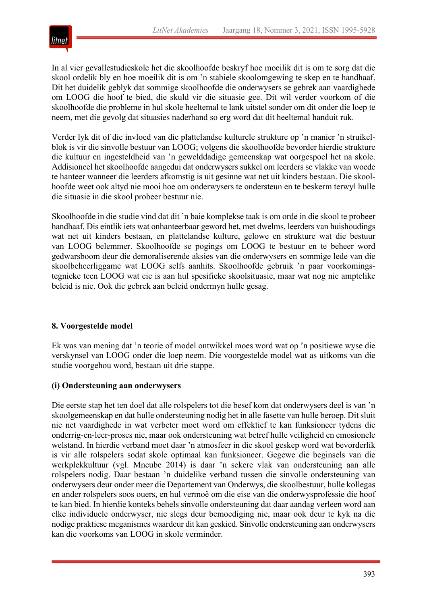

In al vier gevallestudieskole het die skoolhoofde beskryf hoe moeilik dit is om te sorg dat die skool ordelik bly en hoe moeilik dit is om 'n stabiele skoolomgewing te skep en te handhaaf. Dit het duidelik geblyk dat sommige skoolhoofde die onderwysers se gebrek aan vaardighede om LOOG die hoof te bied, die skuld vir die situasie gee. Dit wil verder voorkom of die skoolhoofde die probleme in hul skole heeltemal te lank uitstel sonder om dit onder die loep te neem, met die gevolg dat situasies naderhand so erg word dat dit heeltemal handuit ruk.

Verder lyk dit of die invloed van die plattelandse kulturele strukture op 'n manier 'n struikelblok is vir die sinvolle bestuur van LOOG; volgens die skoolhoofde bevorder hierdie strukture die kultuur en ingesteldheid van 'n gewelddadige gemeenskap wat oorgespoel het na skole. Addisioneel het skoolhoofde aangedui dat onderwysers sukkel om leerders se vlakke van woede te hanteer wanneer die leerders afkomstig is uit gesinne wat net uit kinders bestaan. Die skoolhoofde weet ook altyd nie mooi hoe om onderwysers te ondersteun en te beskerm terwyl hulle die situasie in die skool probeer bestuur nie.

Skoolhoofde in die studie vind dat dit 'n baie komplekse taak is om orde in die skool te probeer handhaaf. Dis eintlik iets wat onhanteerbaar geword het, met dwelms, leerders van huishoudings wat net uit kinders bestaan, en plattelandse kulture, gelowe en strukture wat die bestuur van LOOG belemmer. Skoolhoofde se pogings om LOOG te bestuur en te beheer word gedwarsboom deur die demoraliserende aksies van die onderwysers en sommige lede van die skoolbeheerliggame wat LOOG selfs aanhits. Skoolhoofde gebruik 'n paar voorkomingstegnieke teen LOOG wat eie is aan hul spesifieke skoolsituasie, maar wat nog nie amptelike beleid is nie. Ook die gebrek aan beleid ondermyn hulle gesag.

## **8. Voorgestelde model**

Ek was van mening dat 'n teorie of model ontwikkel moes word wat op 'n positiewe wyse die verskynsel van LOOG onder die loep neem. Die voorgestelde model wat as uitkoms van die studie voorgehou word, bestaan uit drie stappe.

## **(i) Ondersteuning aan onderwysers**

Die eerste stap het ten doel dat alle rolspelers tot die besef kom dat onderwysers deel is van 'n skoolgemeenskap en dat hulle ondersteuning nodig het in alle fasette van hulle beroep. Dit sluit nie net vaardighede in wat verbeter moet word om effektief te kan funksioneer tydens die onderrig-en-leer-proses nie, maar ook ondersteuning wat betref hulle veiligheid en emosionele welstand. In hierdie verband moet daar 'n atmosfeer in die skool geskep word wat bevorderlik is vir alle rolspelers sodat skole optimaal kan funksioneer. Gegewe die beginsels van die werkplekkultuur (vgl. Mncube 2014) is daar 'n sekere vlak van ondersteuning aan alle rolspelers nodig. Daar bestaan 'n duidelike verband tussen die sinvolle ondersteuning van onderwysers deur onder meer die Departement van Onderwys, die skoolbestuur, hulle kollegas en ander rolspelers soos ouers, en hul vermoë om die eise van die onderwysprofessie die hoof te kan bied. In hierdie konteks behels sinvolle ondersteuning dat daar aandag verleen word aan elke individuele onderwyser, nie slegs deur bemoediging nie, maar ook deur te kyk na die nodige praktiese meganismes waardeur dit kan geskied. Sinvolle ondersteuning aan onderwysers kan die voorkoms van LOOG in skole verminder.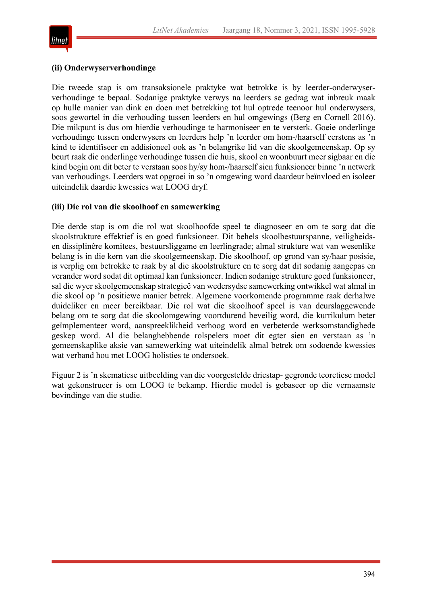

#### **(ii) Onderwyserverhoudinge**

Die tweede stap is om transaksionele praktyke wat betrokke is by leerder-onderwyserverhoudinge te bepaal. Sodanige praktyke verwys na leerders se gedrag wat inbreuk maak op hulle manier van dink en doen met betrekking tot hul optrede teenoor hul onderwysers, soos gewortel in die verhouding tussen leerders en hul omgewings (Berg en Cornell 2016). Die mikpunt is dus om hierdie verhoudinge te harmoniseer en te versterk. Goeie onderlinge verhoudinge tussen onderwysers en leerders help 'n leerder om hom-/haarself eerstens as 'n kind te identifiseer en addisioneel ook as 'n belangrike lid van die skoolgemeenskap. Op sy beurt raak die onderlinge verhoudinge tussen die huis, skool en woonbuurt meer sigbaar en die kind begin om dit beter te verstaan soos hy/sy hom-/haarself sien funksioneer binne 'n netwerk van verhoudings. Leerders wat opgroei in so 'n omgewing word daardeur beïnvloed en isoleer uiteindelik daardie kwessies wat LOOG dryf.

#### **(iii) Die rol van die skoolhoof en samewerking**

Die derde stap is om die rol wat skoolhoofde speel te diagnoseer en om te sorg dat die skoolstrukture effektief is en goed funksioneer. Dit behels skoolbestuurspanne, veiligheidsen dissiplinêre komitees, bestuursliggame en leerlingrade; almal strukture wat van wesenlike belang is in die kern van die skoolgemeenskap. Die skoolhoof, op grond van sy/haar posisie, is verplig om betrokke te raak by al die skoolstrukture en te sorg dat dit sodanig aangepas en verander word sodat dit optimaal kan funksioneer. Indien sodanige strukture goed funksioneer, sal die wyer skoolgemeenskap strategieë van wedersydse samewerking ontwikkel wat almal in die skool op 'n positiewe manier betrek. Algemene voorkomende programme raak derhalwe duideliker en meer bereikbaar. Die rol wat die skoolhoof speel is van deurslaggewende belang om te sorg dat die skoolomgewing voortdurend beveilig word, die kurrikulum beter geïmplementeer word, aanspreeklikheid verhoog word en verbeterde werksomstandighede geskep word. Al die belanghebbende rolspelers moet dit egter sien en verstaan as 'n gemeenskaplike aksie van samewerking wat uiteindelik almal betrek om sodoende kwessies wat verband hou met LOOG holisties te ondersoek.

Figuur 2 is 'n skematiese uitbeelding van die voorgestelde driestap- gegronde teoretiese model wat gekonstrueer is om LOOG te bekamp. Hierdie model is gebaseer op die vernaamste bevindinge van die studie.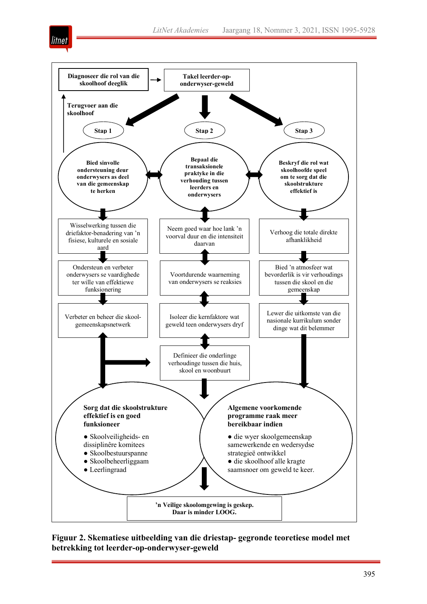



**Figuur 2. Skematiese uitbeelding van die driestap- gegronde teoretiese model met betrekking tot leerder-op-onderwyser-geweld**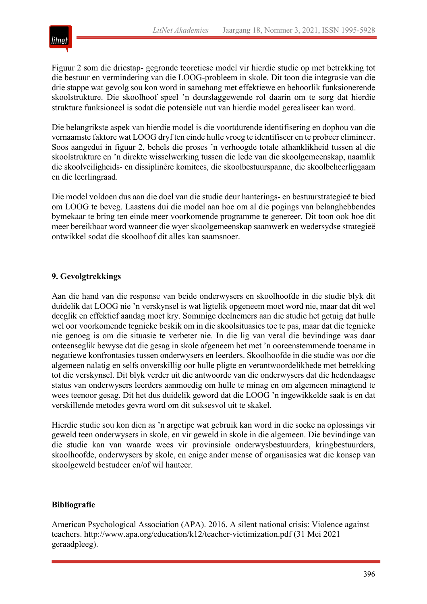

Figuur 2 som die driestap- gegronde teoretiese model vir hierdie studie op met betrekking tot die bestuur en vermindering van die LOOG-probleem in skole. Dit toon die integrasie van die drie stappe wat gevolg sou kon word in samehang met effektiewe en behoorlik funksionerende skoolstrukture. Die skoolhoof speel 'n deurslaggewende rol daarin om te sorg dat hierdie strukture funksioneel is sodat die potensiële nut van hierdie model gerealiseer kan word.

Die belangrikste aspek van hierdie model is die voortdurende identifisering en dophou van die vernaamste faktore wat LOOG dryf ten einde hulle vroeg te identifiseer en te probeer elimineer. Soos aangedui in figuur 2, behels die proses 'n verhoogde totale afhanklikheid tussen al die skoolstrukture en 'n direkte wisselwerking tussen die lede van die skoolgemeenskap, naamlik die skoolveiligheids- en dissiplinêre komitees, die skoolbestuurspanne, die skoolbeheerliggaam en die leerlingraad.

Die model voldoen dus aan die doel van die studie deur hanterings- en bestuurstrategieë te bied om LOOG te beveg. Laastens dui die model aan hoe om al die pogings van belanghebbendes bymekaar te bring ten einde meer voorkomende programme te genereer. Dit toon ook hoe dit meer bereikbaar word wanneer die wyer skoolgemeenskap saamwerk en wedersydse strategieë ontwikkel sodat die skoolhoof dit alles kan saamsnoer.

# **9. Gevolgtrekkings**

Aan die hand van die response van beide onderwysers en skoolhoofde in die studie blyk dit duidelik dat LOOG nie 'n verskynsel is wat ligtelik opgeneem moet word nie, maar dat dit wel deeglik en effektief aandag moet kry. Sommige deelnemers aan die studie het getuig dat hulle wel oor voorkomende tegnieke beskik om in die skoolsituasies toe te pas, maar dat die tegnieke nie genoeg is om die situasie te verbeter nie. In die lig van veral die bevindinge was daar onteenseglik bewyse dat die gesag in skole afgeneem het met 'n ooreenstemmende toename in negatiewe konfrontasies tussen onderwysers en leerders. Skoolhoofde in die studie was oor die algemeen nalatig en selfs onverskillig oor hulle pligte en verantwoordelikhede met betrekking tot die verskynsel. Dit blyk verder uit die antwoorde van die onderwysers dat die hedendaagse status van onderwysers leerders aanmoedig om hulle te minag en om algemeen minagtend te wees teenoor gesag. Dit het dus duidelik geword dat die LOOG 'n ingewikkelde saak is en dat verskillende metodes gevra word om dit suksesvol uit te skakel.

Hierdie studie sou kon dien as 'n argetipe wat gebruik kan word in die soeke na oplossings vir geweld teen onderwysers in skole, en vir geweld in skole in die algemeen. Die bevindinge van die studie kan van waarde wees vir provinsiale onderwysbestuurders, kringbestuurders, skoolhoofde, onderwysers by skole, en enige ander mense of organisasies wat die konsep van skoolgeweld bestudeer en/of wil hanteer.

## **Bibliografie**

American Psychological Association (APA). 2016. A silent national crisis: Violence against teachers. http://www.apa.org/education/k12/teacher-victimization.pdf (31 Mei 2021 geraadpleeg).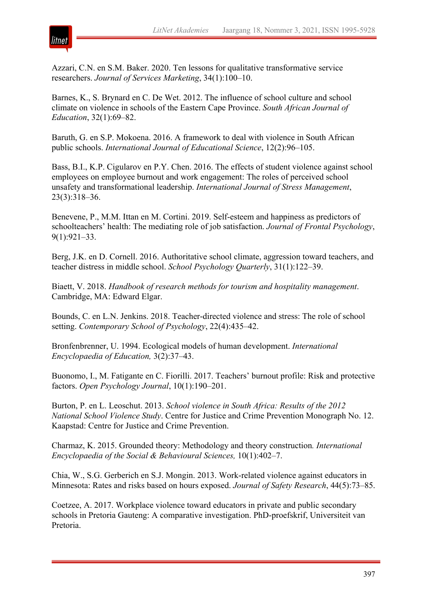

Azzari, C.N. en S.M. Baker. 2020. Ten lessons for qualitative transformative service researchers. *Journal of Services Marketing*, 34(1):100–10.

Barnes, K., S. Brynard en C. De Wet. 2012. The influence of school culture and school climate on violence in schools of the Eastern Cape Province. *South African Journal of Education*, 32(1):69–82.

Baruth, G. en S.P. Mokoena. 2016. A framework to deal with violence in South African public schools. *International Journal of Educational Science*, 12(2):96–105.

Bass, B.I., K.P. Cigularov en P.Y. Chen. 2016. The effects of student violence against school employees on employee burnout and work engagement: The roles of perceived school unsafety and transformational leadership. *International Journal of Stress Management*, 23(3):318–36.

Benevene, P., M.M. Ittan en M. Cortini. 2019. Self-esteem and happiness as predictors of schoolteachers' health: The mediating role of job satisfaction. *Journal of Frontal Psychology*, 9(1):921–33.

Berg, J.K. en D. Cornell. 2016. Authoritative school climate, aggression toward teachers, and teacher distress in middle school. *School Psychology Quarterly*, 31(1):122–39.

Biaett, V. 2018. *Handbook of research methods for tourism and hospitality management*. Cambridge, MA: Edward Elgar.

Bounds, C. en L.N. Jenkins. 2018. Teacher-directed violence and stress: The role of school setting. *Contemporary School of Psychology*, 22(4):435–42.

Bronfenbrenner, U. 1994. Ecological models of human development. *International Encyclopaedia of Education,* 3(2):37–43.

Buonomo, I., M. Fatigante en C. Fiorilli. 2017. Teachers' burnout profile: Risk and protective factors. *Open Psychology Journal*, 10(1):190–201.

Burton, P. en L. Leoschut. 2013. *School violence in South Africa: Results of the 2012 National School Violence Study*. Centre for Justice and Crime Prevention Monograph No. 12. Kaapstad: Centre for Justice and Crime Prevention.

Charmaz, K. 2015. Grounded theory: Methodology and theory construction*. International Encyclopaedia of the Social & Behavioural Sciences,* 10(1):402–7.

Chia, W., S.G. Gerberich en S.J. Mongin. 2013. Work-related violence against educators in Minnesota: Rates and risks based on hours exposed. *Journal of Safety Research*, 44(5):73–85.

Coetzee, A. 2017. Workplace violence toward educators in private and public secondary schools in Pretoria Gauteng: A comparative investigation. PhD-proefskrif, Universiteit van Pretoria.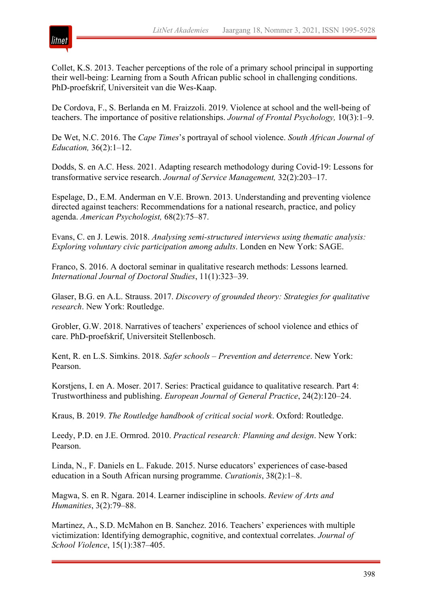

Collet, K.S. 2013. Teacher perceptions of the role of a primary school principal in supporting their well-being: Learning from a South African public school in challenging conditions. PhD-proefskrif, Universiteit van die Wes-Kaap.

De Cordova, F., S. Berlanda en M. Fraizzoli. 2019. Violence at school and the well-being of teachers. The importance of positive relationships. *Journal of Frontal Psychology,* 10(3):1–9.

De Wet, N.C. 2016. The *Cape Times*'s portrayal of school violence. *South African Journal of Education,* 36(2):1–12.

Dodds, S. en A.C. Hess. 2021. Adapting research methodology during Covid-19: Lessons for transformative service research. *Journal of Service Management,* 32(2):203–17.

Espelage, D., E.M. Anderman en V.E. Brown. 2013. Understanding and preventing violence directed against teachers: Recommendations for a national research, practice, and policy agenda. *American Psychologist,* 68(2):75–87.

Evans, C. en J. Lewis. 2018. *Analysing semi-structured interviews using thematic analysis: Exploring voluntary civic participation among adults*. Londen en New York: SAGE.

Franco, S. 2016. A doctoral seminar in qualitative research methods: Lessons learned. *International Journal of Doctoral Studies*, 11(1):323–39.

Glaser, B.G. en A.L. Strauss. 2017. *Discovery of grounded theory: Strategies for qualitative research*. New York: Routledge.

Grobler, G.W. 2018. Narratives of teachers' experiences of school violence and ethics of care. PhD-proefskrif, Universiteit Stellenbosch.

Kent, R. en L.S. Simkins. 2018. *Safer schools – Prevention and deterrence*. New York: Pearson.

Korstjens, I. en A. Moser. 2017. Series: Practical guidance to qualitative research. Part 4: Trustworthiness and publishing. *European Journal of General Practice*, 24(2):120–24.

Kraus, B. 2019. *The Routledge handbook of critical social work*. Oxford: Routledge.

Leedy, P.D. en J.E. Ormrod. 2010. *Practical research: Planning and design*. New York: Pearson.

Linda, N., F. Daniels en L. Fakude. 2015. Nurse educators' experiences of case-based education in a South African nursing programme. *Curationis*, 38(2):1–8.

Magwa, S. en R. Ngara. 2014. Learner indiscipline in schools. *Review of Arts and Humanities*, 3(2):79–88.

Martinez, A., S.D. McMahon en B. Sanchez. 2016. Teachers' experiences with multiple victimization: Identifying demographic, cognitive, and contextual correlates. *Journal of School Violence*, 15(1):387–405.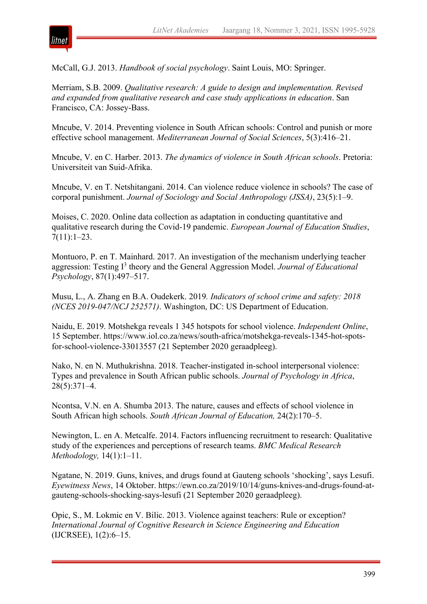

McCall, G.J. 2013. *Handbook of social psychology*. Saint Louis, MO: Springer.

Merriam, S.B. 2009. *Qualitative research: A guide to design and implementation. Revised and expanded from qualitative research and case study applications in education*. San Francisco, CA: Jossey-Bass.

Mncube, V. 2014. Preventing violence in South African schools: Control and punish or more effective school management. *Mediterranean Journal of Social Sciences*, 5(3):416–21.

Mncube, V. en C. Harber. 2013. *The dynamics of violence in South African schools*. Pretoria: Universiteit van Suid-Afrika.

Mncube, V. en T. Netshitangani. 2014. Can violence reduce violence in schools? The case of corporal punishment. *Journal of Sociology and Social Anthropology (JSSA)*, 23(5):1–9.

Moises, C. 2020. Online data collection as adaptation in conducting quantitative and qualitative research during the Covid-19 pandemic. *European Journal of Education Studies*,  $7(11):1-23.$ 

Montuoro, P. en T. Mainhard. 2017. An investigation of the mechanism underlying teacher aggression: Testing I <sup>3</sup> theory and the General Aggression Model. *Journal of Educational Psychology*, 87(1):497–517.

Musu, L., A. Zhang en B.A. Oudekerk. 2019*. Indicators of school crime and safety: 2018 (NCES 2019-047/NCJ 252571)*. Washington, DC: US Department of Education.

Naidu, E. 2019. Motshekga reveals 1 345 hotspots for school violence. *Independent Online*, 15 September. https://www.iol.co.za/news/south-africa/motshekga-reveals-1345-hot-spotsfor-school-violence-33013557 (21 September 2020 geraadpleeg).

Nako, N. en N. Muthukrishna. 2018. Teacher-instigated in-school interpersonal violence: Types and prevalence in South African public schools. *Journal of Psychology in Africa*, 28(5):371–4.

Ncontsa, V.N. en A. Shumba 2013. The nature, causes and effects of school violence in South African high schools. *South African Journal of Education,* 24(2):170–5.

Newington, L. en A. Metcalfe. 2014. Factors influencing recruitment to research: Qualitative study of the experiences and perceptions of research teams. *BMC Medical Research Methodology,* 14(1):1–11.

Ngatane, N. 2019. Guns, knives, and drugs found at Gauteng schools 'shocking', says Lesufi. *Eyewitness News*, 14 Oktober. https://ewn.co.za/2019/10/14/guns-knives-and-drugs-found-atgauteng-schools-shocking-says-lesufi (21 September 2020 geraadpleeg).

Opic, S., M. Lokmic en V. Bilic. 2013. Violence against teachers: Rule or exception? *International Journal of Cognitive Research in Science Engineering and Education* (IJCRSEE), 1(2):6–15.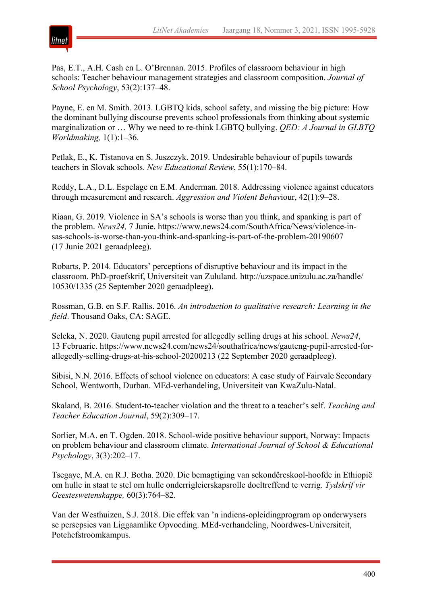

Pas, E.T., A.H. Cash en L. O'Brennan. 2015. Profiles of classroom behaviour in high schools: Teacher behaviour management strategies and classroom composition. *Journal of School Psychology*, 53(2):137–48.

Payne, E. en M. Smith. 2013. LGBTQ kids, school safety, and missing the big picture: How the dominant bullying discourse prevents school professionals from thinking about systemic marginalization or … Why we need to re-think LGBTQ bullying. *QED: A Journal in GLBTQ Worldmaking,* 1(1):1–36.

Petlak, E., K. Tistanova en S. Juszczyk. 2019. Undesirable behaviour of pupils towards teachers in Slovak schools. *New Educational Review*, 55(1):170–84.

Reddy, L.A., D.L. Espelage en E.M. Anderman. 2018. Addressing violence against educators through measurement and research. *Aggression and Violent Behav*iour, 42(1):9–28.

Riaan, G. 2019. Violence in SA's schools is worse than you think, and spanking is part of the problem. *News24,* 7 Junie. https://www.news24.com/SouthAfrica/News/violence-insas-schools-is-worse-than-you-think-and-spanking-is-part-of-the-problem-20190607 (17 Junie 2021 geraadpleeg).

Robarts, P. 2014*.* Educators' perceptions of disruptive behaviour and its impact in the classroom. PhD-proefskrif, Universiteit van Zululand. http://uzspace.unizulu.ac.za/handle/ 10530/1335 (25 September 2020 geraadpleeg).

Rossman, G.B. en S.F. Rallis. 2016. *An introduction to qualitative research: Learning in the field*. Thousand Oaks, CA: SAGE.

Seleka, N. 2020. Gauteng pupil arrested for allegedly selling drugs at his school. *News24*, 13 Februarie. https://www.news24.com/news24/southafrica/news/gauteng-pupil-arrested-forallegedly-selling-drugs-at-his-school-20200213 (22 September 2020 geraadpleeg).

Sibisi, N.N. 2016. Effects of school violence on educators: A case study of Fairvale Secondary School, Wentworth, Durban. MEd-verhandeling, Universiteit van KwaZulu-Natal.

Skaland, B. 2016. Student-to-teacher violation and the threat to a teacher's self. *Teaching and Teacher Education Journal*, 59(2):309–17.

Sorlier, M.A. en T. Ogden. 2018. School-wide positive behaviour support, Norway: Impacts on problem behaviour and classroom climate. *International Journal of School & Educational Psychology*, 3(3):202–17.

Tsegaye, M.A. en R.J. Botha. 2020. Die bemagtiging van sekondêreskool-hoofde in Ethiopië om hulle in staat te stel om hulle onderrigleierskapsrolle doeltreffend te verrig. *Tydskrif vir Geesteswetenskappe,* 60(3):764–82.

Van der Westhuizen, S.J. 2018. Die effek van 'n indiens-opleidingprogram op onderwysers se persepsies van Liggaamlike Opvoeding. MEd-verhandeling, Noordwes-Universiteit, Potchefstroomkampus.